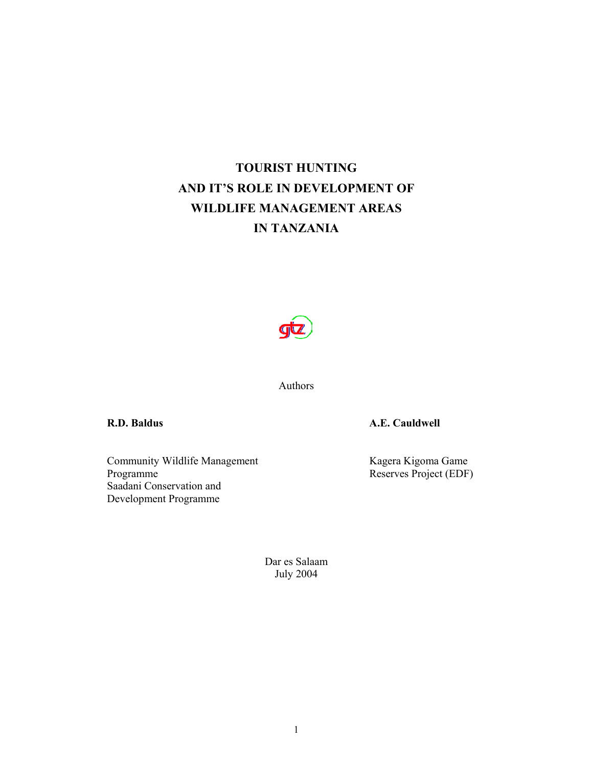# **TOURIST HUNTING AND IT'S ROLE IN DEVELOPMENT OF WILDLIFE MANAGEMENT AREAS IN TANZANIA**



Authors

Community Wildlife Management<br>Programme Saadani Conservation and Development Programme

**R.D. Baldus A.E. Cauldwell** 

Kagera Kigoma Game<br>Reserves Project (EDF)

Dar es Salaam July 2004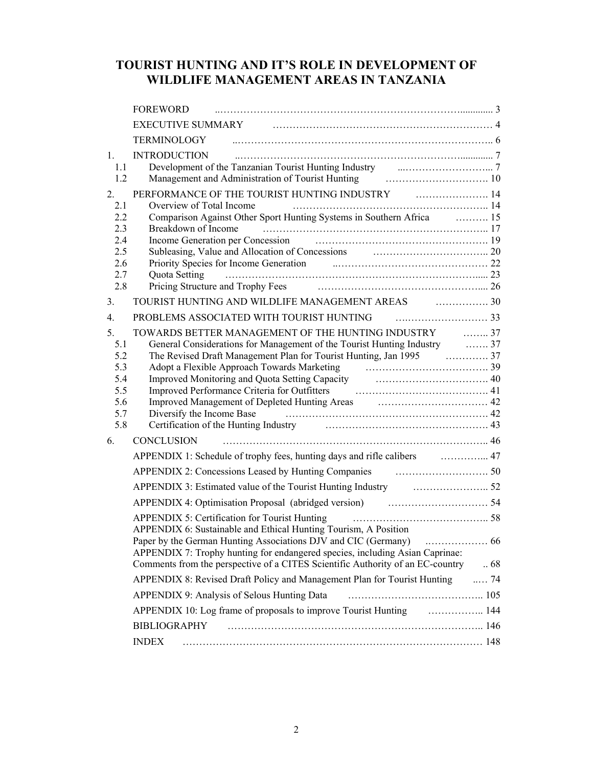# **TOURIST HUNTING AND IT'S ROLE IN DEVELOPMENT OF WILDLIFE MANAGEMENT AREAS IN TANZANIA**

|            | <b>FOREWORD</b>                                                                                                                                                                                                                |               |
|------------|--------------------------------------------------------------------------------------------------------------------------------------------------------------------------------------------------------------------------------|---------------|
|            | EXECUTIVE SUMMARY FIGURE 2010 CONTROLLER AND THE SUMMARY                                                                                                                                                                       |               |
|            | <b>TERMINOLOGY</b>                                                                                                                                                                                                             |               |
| 1.         | <b>INTRODUCTION</b>                                                                                                                                                                                                            |               |
| 1.1<br>1.2 | Development of the Tanzanian Tourist Hunting Industry <b>Canadian Countries</b> 7<br>Management and Administration of Tourist Hunting <b>Constrainer Management</b> and Administration of Tourist Hunting <b>Constrainer</b>   |               |
| 2.         | PERFORMANCE OF THE TOURIST HUNTING INDUSTRY FILLER MANAGEMENT AND THE TOURIST HUNTING INDUSTRY                                                                                                                                 |               |
| 2.1        | Overview of Total Income                                                                                                                                                                                                       |               |
| 2.2        | Comparison Against Other Sport Hunting Systems in Southern Africa <b>Comparison Against Other Sport Hunting Systems</b> in Southern Africa                                                                                     |               |
| 2.3<br>2.4 | Breakdown of Income<br>Income Generation per Concession (19)                                                                                                                                                                   |               |
| 2.5        | Subleasing, Value and Allocation of Concessions<br>Priority Species for Income Generation<br>22                                                                                                                                |               |
| 2.6        |                                                                                                                                                                                                                                |               |
| 2.7<br>2.8 | Quota Setting                                                                                                                                                                                                                  |               |
| 3.         | TOURIST HUNTING AND WILDLIFE MANAGEMENT AREAS FIG. 2001                                                                                                                                                                        |               |
| 4.         | PROBLEMS ASSOCIATED WITH TOURIST HUNTING PROBLEMS ASSOCIATED WITH TOURIST HUNTING PLATITUM ASSOCIATED WITH THE METAL ASSEMBLEM ASSEMBLEM ASSEMBLEM ASSEMBLEM ASSEMBLEM ASSEMBLEM ASSEMBLEM ASSEMBLEM ASSEMBLEM ASSEMBLEM ASSEM |               |
| 5.         | TOWARDS BETTER MANAGEMENT OF THE HUNTING INDUSTRY  37                                                                                                                                                                          |               |
| 5.1        | General Considerations for Management of the Tourist Hunting Industry <b>Example 2.1 Accord Act 2.1 Accord 2.1</b>                                                                                                             |               |
| 5.2        | The Revised Draft Management Plan for Tourist Hunting, Jan 1995  37                                                                                                                                                            |               |
| 5.3        | Adopt a Flexible Approach Towards Marketing<br>$\cdots$ 39                                                                                                                                                                     |               |
| 5.4<br>5.5 | Improved Monitoring and Quota Setting Capacity<br>Improved Performance Criteria for Outfitters<br>41                                                                                                                           |               |
| 5.6        |                                                                                                                                                                                                                                |               |
| 5.7        | Diversify the Income Base                                                                                                                                                                                                      |               |
| 5.8        | Certification of the Hunting Industry material contracts and the Hunting Industry material contracts and 43                                                                                                                    |               |
| 6.         | <b>CONCLUSION</b>                                                                                                                                                                                                              |               |
|            | APPENDIX 1: Schedule of trophy fees, hunting days and rifle calibers  47                                                                                                                                                       |               |
|            |                                                                                                                                                                                                                                |               |
|            |                                                                                                                                                                                                                                |               |
|            | APPENDIX 4: Optimisation Proposal (abridged version) material statements of the APPENDIX 4: Optimisation Proposal (abridged version)                                                                                           |               |
|            | <b>APPENDIX 5: Certification for Tourist Hunting</b>                                                                                                                                                                           |               |
|            | APPENDIX 6: Sustainable and Ethical Hunting Tourism, A Position                                                                                                                                                                |               |
|            | APPENDIX 7: Trophy hunting for endangered species, including Asian Caprinae:                                                                                                                                                   |               |
|            | Comments from the perspective of a CITES Scientific Authority of an EC-country                                                                                                                                                 | .68           |
|            | APPENDIX 8: Revised Draft Policy and Management Plan for Tourist Hunting                                                                                                                                                       | $\ldots$ . 74 |
|            | APPENDIX 9: Analysis of Selous Hunting Data                                                                                                                                                                                    |               |
|            | APPENDIX 10: Log frame of proposals to improve Tourist Hunting manufacture. 144                                                                                                                                                |               |
|            | <b>BIBLIOGRAPHY</b>                                                                                                                                                                                                            |               |
|            | <b>INDEX</b>                                                                                                                                                                                                                   |               |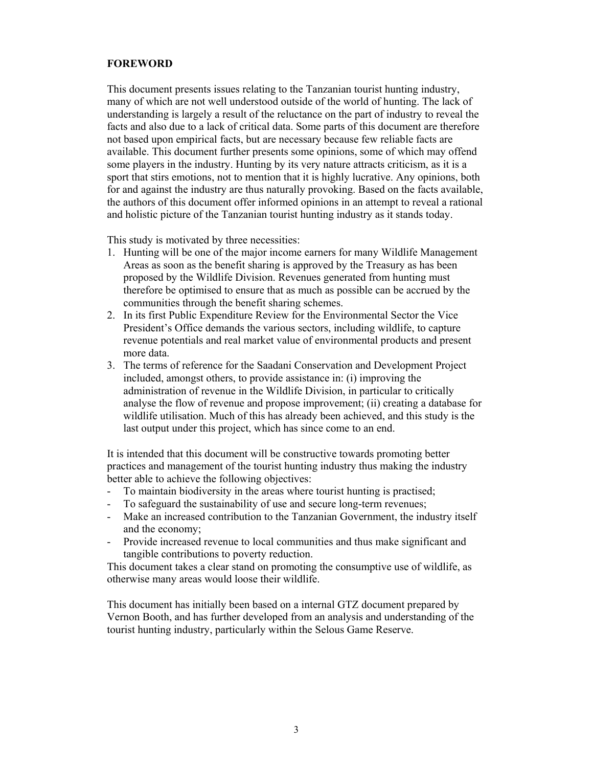## **FOREWORD**

This document presents issues relating to the Tanzanian tourist hunting industry, many of which are not well understood outside of the world of hunting. The lack of understanding is largely a result of the reluctance on the part of industry to reveal the facts and also due to a lack of critical data. Some parts of this document are therefore not based upon empirical facts, but are necessary because few reliable facts are available. This document further presents some opinions, some of which may offend some players in the industry. Hunting by its very nature attracts criticism, as it is a sport that stirs emotions, not to mention that it is highly lucrative. Any opinions, both for and against the industry are thus naturally provoking. Based on the facts available, the authors of this document offer informed opinions in an attempt to reveal a rational and holistic picture of the Tanzanian tourist hunting industry as it stands today.

This study is motivated by three necessities:

- 1. Hunting will be one of the major income earners for many Wildlife Management Areas as soon as the benefit sharing is approved by the Treasury as has been proposed by the Wildlife Division. Revenues generated from hunting must therefore be optimised to ensure that as much as possible can be accrued by the communities through the benefit sharing schemes.
- 2. In its first Public Expenditure Review for the Environmental Sector the Vice President's Office demands the various sectors, including wildlife, to capture revenue potentials and real market value of environmental products and present more data.
- 3. The terms of reference for the Saadani Conservation and Development Project included, amongst others, to provide assistance in: (i) improving the administration of revenue in the Wildlife Division, in particular to critically analyse the flow of revenue and propose improvement; (ii) creating a database for wildlife utilisation. Much of this has already been achieved, and this study is the last output under this project, which has since come to an end.

It is intended that this document will be constructive towards promoting better practices and management of the tourist hunting industry thus making the industry better able to achieve the following objectives:

- To maintain biodiversity in the areas where tourist hunting is practised;
- To safeguard the sustainability of use and secure long-term revenues;
- Make an increased contribution to the Tanzanian Government, the industry itself and the economy;
- Provide increased revenue to local communities and thus make significant and tangible contributions to poverty reduction.

This document takes a clear stand on promoting the consumptive use of wildlife, as otherwise many areas would loose their wildlife.

This document has initially been based on a internal GTZ document prepared by Vernon Booth, and has further developed from an analysis and understanding of the tourist hunting industry, particularly within the Selous Game Reserve.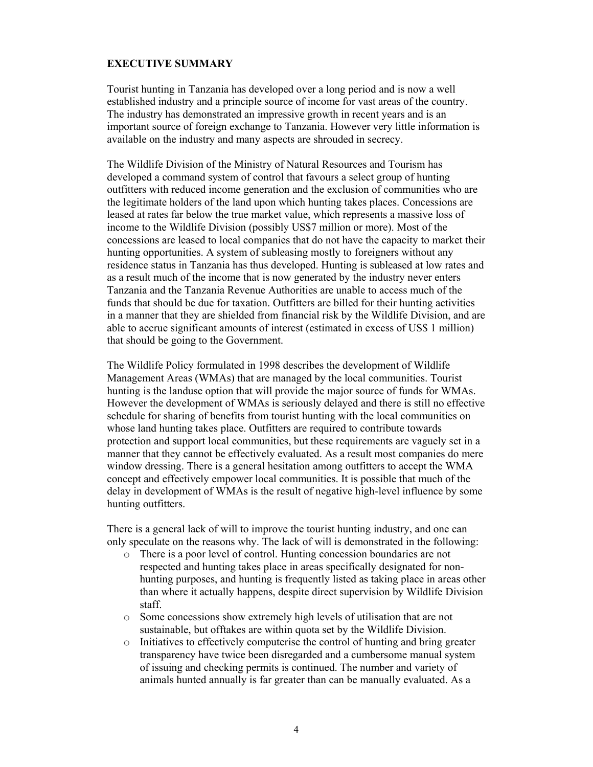## **EXECUTIVE SUMMARY**

Tourist hunting in Tanzania has developed over a long period and is now a well established industry and a principle source of income for vast areas of the country. The industry has demonstrated an impressive growth in recent years and is an important source of foreign exchange to Tanzania. However very little information is available on the industry and many aspects are shrouded in secrecy.

The Wildlife Division of the Ministry of Natural Resources and Tourism has developed a command system of control that favours a select group of hunting outfitters with reduced income generation and the exclusion of communities who are the legitimate holders of the land upon which hunting takes places. Concessions are leased at rates far below the true market value, which represents a massive loss of income to the Wildlife Division (possibly US\$7 million or more). Most of the concessions are leased to local companies that do not have the capacity to market their hunting opportunities. A system of subleasing mostly to foreigners without any residence status in Tanzania has thus developed. Hunting is subleased at low rates and as a result much of the income that is now generated by the industry never enters Tanzania and the Tanzania Revenue Authorities are unable to access much of the funds that should be due for taxation. Outfitters are billed for their hunting activities in a manner that they are shielded from financial risk by the Wildlife Division, and are able to accrue significant amounts of interest (estimated in excess of US\$ 1 million) that should be going to the Government.

The Wildlife Policy formulated in 1998 describes the development of Wildlife Management Areas (WMAs) that are managed by the local communities. Tourist hunting is the landuse option that will provide the major source of funds for WMAs. However the development of WMAs is seriously delayed and there is still no effective schedule for sharing of benefits from tourist hunting with the local communities on whose land hunting takes place. Outfitters are required to contribute towards protection and support local communities, but these requirements are vaguely set in a manner that they cannot be effectively evaluated. As a result most companies do mere window dressing. There is a general hesitation among outfitters to accept the WMA concept and effectively empower local communities. It is possible that much of the delay in development of WMAs is the result of negative high-level influence by some hunting outfitters.

There is a general lack of will to improve the tourist hunting industry, and one can only speculate on the reasons why. The lack of will is demonstrated in the following:

- o There is a poor level of control. Hunting concession boundaries are not respected and hunting takes place in areas specifically designated for nonhunting purposes, and hunting is frequently listed as taking place in areas other than where it actually happens, despite direct supervision by Wildlife Division staff.
- o Some concessions show extremely high levels of utilisation that are not sustainable, but offtakes are within quota set by the Wildlife Division.
- o Initiatives to effectively computerise the control of hunting and bring greater transparency have twice been disregarded and a cumbersome manual system of issuing and checking permits is continued. The number and variety of animals hunted annually is far greater than can be manually evaluated. As a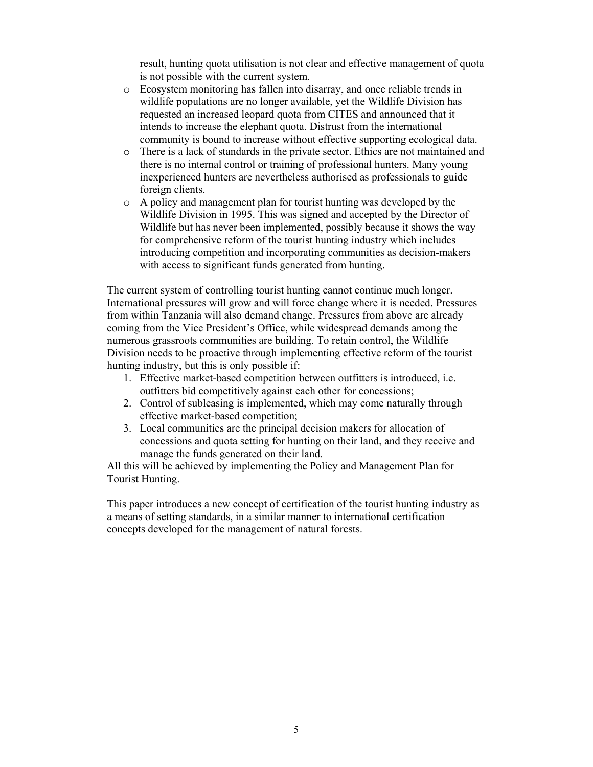result, hunting quota utilisation is not clear and effective management of quota is not possible with the current system.

- o Ecosystem monitoring has fallen into disarray, and once reliable trends in wildlife populations are no longer available, yet the Wildlife Division has requested an increased leopard quota from CITES and announced that it intends to increase the elephant quota. Distrust from the international community is bound to increase without effective supporting ecological data.
- o There is a lack of standards in the private sector. Ethics are not maintained and there is no internal control or training of professional hunters. Many young inexperienced hunters are nevertheless authorised as professionals to guide foreign clients.
- o A policy and management plan for tourist hunting was developed by the Wildlife Division in 1995. This was signed and accepted by the Director of Wildlife but has never been implemented, possibly because it shows the way for comprehensive reform of the tourist hunting industry which includes introducing competition and incorporating communities as decision-makers with access to significant funds generated from hunting.

The current system of controlling tourist hunting cannot continue much longer. International pressures will grow and will force change where it is needed. Pressures from within Tanzania will also demand change. Pressures from above are already coming from the Vice President's Office, while widespread demands among the numerous grassroots communities are building. To retain control, the Wildlife Division needs to be proactive through implementing effective reform of the tourist hunting industry, but this is only possible if:

- 1. Effective market-based competition between outfitters is introduced, i.e. outfitters bid competitively against each other for concessions;
- 2. Control of subleasing is implemented, which may come naturally through effective market-based competition;
- 3. Local communities are the principal decision makers for allocation of concessions and quota setting for hunting on their land, and they receive and manage the funds generated on their land.

All this will be achieved by implementing the Policy and Management Plan for Tourist Hunting.

This paper introduces a new concept of certification of the tourist hunting industry as a means of setting standards, in a similar manner to international certification concepts developed for the management of natural forests.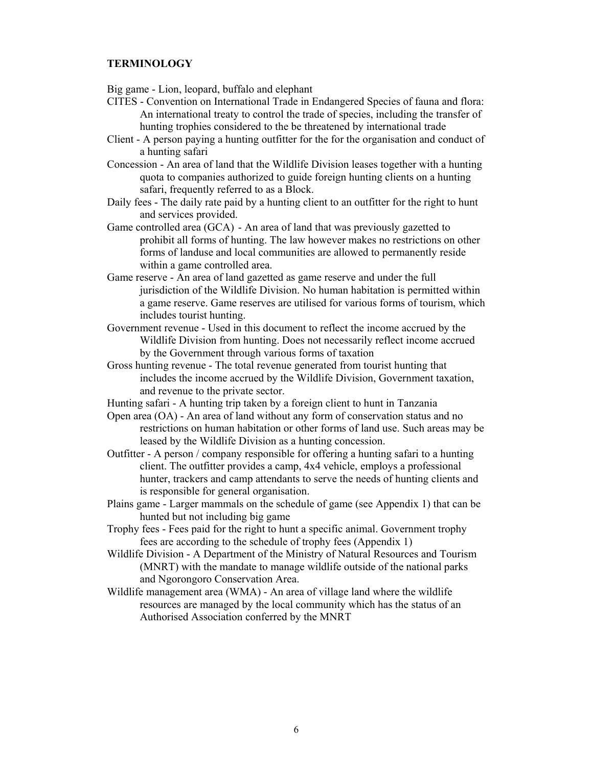## **TERMINOLOGY**

Big game - Lion, leopard, buffalo and elephant

- CITES Convention on International Trade in Endangered Species of fauna and flora: An international treaty to control the trade of species, including the transfer of hunting trophies considered to the be threatened by international trade
- Client A person paying a hunting outfitter for the for the organisation and conduct of a hunting safari
- Concession An area of land that the Wildlife Division leases together with a hunting quota to companies authorized to guide foreign hunting clients on a hunting safari, frequently referred to as a Block.
- Daily fees The daily rate paid by a hunting client to an outfitter for the right to hunt and services provided.
- Game controlled area (GCA) An area of land that was previously gazetted to prohibit all forms of hunting. The law however makes no restrictions on other forms of landuse and local communities are allowed to permanently reside within a game controlled area.
- Game reserve An area of land gazetted as game reserve and under the full jurisdiction of the Wildlife Division. No human habitation is permitted within a game reserve. Game reserves are utilised for various forms of tourism, which includes tourist hunting.
- Government revenue Used in this document to reflect the income accrued by the Wildlife Division from hunting. Does not necessarily reflect income accrued by the Government through various forms of taxation
- Gross hunting revenue The total revenue generated from tourist hunting that includes the income accrued by the Wildlife Division, Government taxation, and revenue to the private sector.
- Hunting safari A hunting trip taken by a foreign client to hunt in Tanzania
- Open area (OA) An area of land without any form of conservation status and no restrictions on human habitation or other forms of land use. Such areas may be leased by the Wildlife Division as a hunting concession.
- Outfitter A person / company responsible for offering a hunting safari to a hunting client. The outfitter provides a camp, 4x4 vehicle, employs a professional hunter, trackers and camp attendants to serve the needs of hunting clients and is responsible for general organisation.
- Plains game Larger mammals on the schedule of game (see Appendix 1) that can be hunted but not including big game
- Trophy fees Fees paid for the right to hunt a specific animal. Government trophy fees are according to the schedule of trophy fees (Appendix 1)
- Wildlife Division A Department of the Ministry of Natural Resources and Tourism (MNRT) with the mandate to manage wildlife outside of the national parks and Ngorongoro Conservation Area.
- Wildlife management area (WMA) An area of village land where the wildlife resources are managed by the local community which has the status of an Authorised Association conferred by the MNRT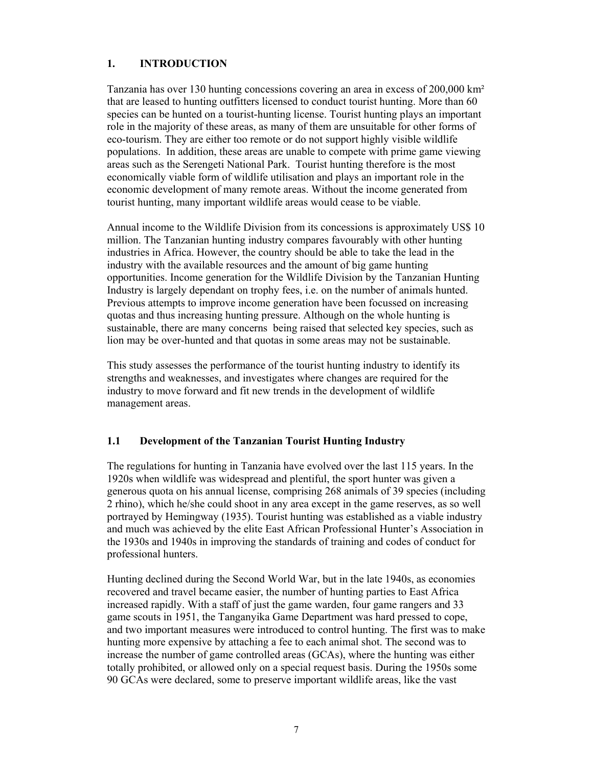# **1. INTRODUCTION**

Tanzania has over 130 hunting concessions covering an area in excess of 200,000 km² that are leased to hunting outfitters licensed to conduct tourist hunting. More than 60 species can be hunted on a tourist-hunting license. Tourist hunting plays an important role in the majority of these areas, as many of them are unsuitable for other forms of eco-tourism. They are either too remote or do not support highly visible wildlife populations. In addition, these areas are unable to compete with prime game viewing areas such as the Serengeti National Park. Tourist hunting therefore is the most economically viable form of wildlife utilisation and plays an important role in the economic development of many remote areas. Without the income generated from tourist hunting, many important wildlife areas would cease to be viable.

Annual income to the Wildlife Division from its concessions is approximately US\$ 10 million. The Tanzanian hunting industry compares favourably with other hunting industries in Africa. However, the country should be able to take the lead in the industry with the available resources and the amount of big game hunting opportunities. Income generation for the Wildlife Division by the Tanzanian Hunting Industry is largely dependant on trophy fees, i.e. on the number of animals hunted. Previous attempts to improve income generation have been focussed on increasing quotas and thus increasing hunting pressure. Although on the whole hunting is sustainable, there are many concerns being raised that selected key species, such as lion may be over-hunted and that quotas in some areas may not be sustainable.

This study assesses the performance of the tourist hunting industry to identify its strengths and weaknesses, and investigates where changes are required for the industry to move forward and fit new trends in the development of wildlife management areas.

# **1.1 Development of the Tanzanian Tourist Hunting Industry**

The regulations for hunting in Tanzania have evolved over the last 115 years. In the 1920s when wildlife was widespread and plentiful, the sport hunter was given a generous quota on his annual license, comprising 268 animals of 39 species (including 2 rhino), which he/she could shoot in any area except in the game reserves, as so well portrayed by Hemingway (1935). Tourist hunting was established as a viable industry and much was achieved by the elite East African Professional Hunter's Association in the 1930s and 1940s in improving the standards of training and codes of conduct for professional hunters.

Hunting declined during the Second World War, but in the late 1940s, as economies recovered and travel became easier, the number of hunting parties to East Africa increased rapidly. With a staff of just the game warden, four game rangers and 33 game scouts in 1951, the Tanganyika Game Department was hard pressed to cope, and two important measures were introduced to control hunting. The first was to make hunting more expensive by attaching a fee to each animal shot. The second was to increase the number of game controlled areas (GCAs), where the hunting was either totally prohibited, or allowed only on a special request basis. During the 1950s some 90 GCAs were declared, some to preserve important wildlife areas, like the vast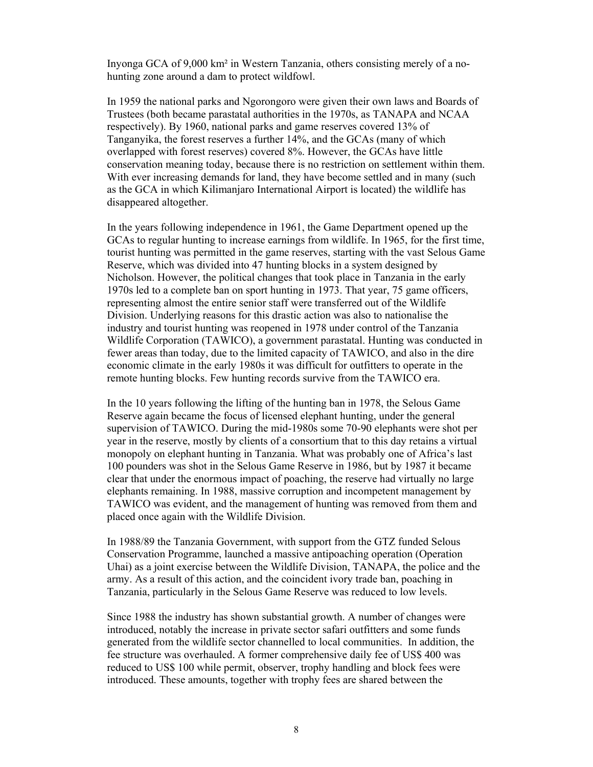Inyonga GCA of 9,000 km² in Western Tanzania, others consisting merely of a nohunting zone around a dam to protect wildfowl.

In 1959 the national parks and Ngorongoro were given their own laws and Boards of Trustees (both became parastatal authorities in the 1970s, as TANAPA and NCAA respectively). By 1960, national parks and game reserves covered 13% of Tanganyika, the forest reserves a further 14%, and the GCAs (many of which overlapped with forest reserves) covered 8%. However, the GCAs have little conservation meaning today, because there is no restriction on settlement within them. With ever increasing demands for land, they have become settled and in many (such as the GCA in which Kilimanjaro International Airport is located) the wildlife has disappeared altogether.

In the years following independence in 1961, the Game Department opened up the GCAs to regular hunting to increase earnings from wildlife. In 1965, for the first time, tourist hunting was permitted in the game reserves, starting with the vast Selous Game Reserve, which was divided into 47 hunting blocks in a system designed by Nicholson. However, the political changes that took place in Tanzania in the early 1970s led to a complete ban on sport hunting in 1973. That year, 75 game officers, representing almost the entire senior staff were transferred out of the Wildlife Division. Underlying reasons for this drastic action was also to nationalise the industry and tourist hunting was reopened in 1978 under control of the Tanzania Wildlife Corporation (TAWICO), a government parastatal. Hunting was conducted in fewer areas than today, due to the limited capacity of TAWICO, and also in the dire economic climate in the early 1980s it was difficult for outfitters to operate in the remote hunting blocks. Few hunting records survive from the TAWICO era.

In the 10 years following the lifting of the hunting ban in 1978, the Selous Game Reserve again became the focus of licensed elephant hunting, under the general supervision of TAWICO. During the mid-1980s some 70-90 elephants were shot per year in the reserve, mostly by clients of a consortium that to this day retains a virtual monopoly on elephant hunting in Tanzania. What was probably one of Africa's last 100 pounders was shot in the Selous Game Reserve in 1986, but by 1987 it became clear that under the enormous impact of poaching, the reserve had virtually no large elephants remaining. In 1988, massive corruption and incompetent management by TAWICO was evident, and the management of hunting was removed from them and placed once again with the Wildlife Division.

In 1988/89 the Tanzania Government, with support from the GTZ funded Selous Conservation Programme, launched a massive antipoaching operation (Operation Uhai) as a joint exercise between the Wildlife Division, TANAPA, the police and the army. As a result of this action, and the coincident ivory trade ban, poaching in Tanzania, particularly in the Selous Game Reserve was reduced to low levels.

Since 1988 the industry has shown substantial growth. A number of changes were introduced, notably the increase in private sector safari outfitters and some funds generated from the wildlife sector channelled to local communities. In addition, the fee structure was overhauled. A former comprehensive daily fee of US\$ 400 was reduced to US\$ 100 while permit, observer, trophy handling and block fees were introduced. These amounts, together with trophy fees are shared between the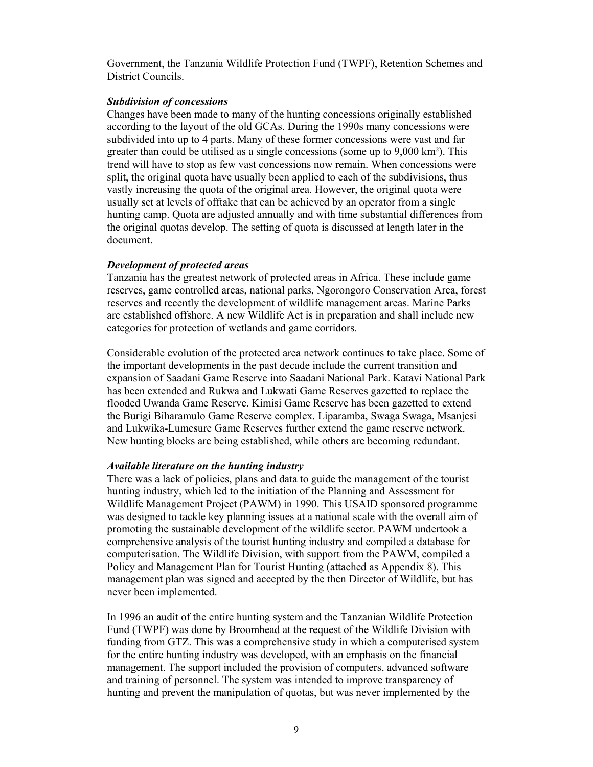Government, the Tanzania Wildlife Protection Fund (TWPF), Retention Schemes and District Councils.

#### *Subdivision of concessions*

Changes have been made to many of the hunting concessions originally established according to the layout of the old GCAs. During the 1990s many concessions were subdivided into up to 4 parts. Many of these former concessions were vast and far greater than could be utilised as a single concessions (some up to 9,000 km²). This trend will have to stop as few vast concessions now remain. When concessions were split, the original quota have usually been applied to each of the subdivisions, thus vastly increasing the quota of the original area. However, the original quota were usually set at levels of offtake that can be achieved by an operator from a single hunting camp. Quota are adjusted annually and with time substantial differences from the original quotas develop. The setting of quota is discussed at length later in the document.

#### *Development of protected areas*

Tanzania has the greatest network of protected areas in Africa. These include game reserves, game controlled areas, national parks, Ngorongoro Conservation Area, forest reserves and recently the development of wildlife management areas. Marine Parks are established offshore. A new Wildlife Act is in preparation and shall include new categories for protection of wetlands and game corridors.

Considerable evolution of the protected area network continues to take place. Some of the important developments in the past decade include the current transition and expansion of Saadani Game Reserve into Saadani National Park. Katavi National Park has been extended and Rukwa and Lukwati Game Reserves gazetted to replace the flooded Uwanda Game Reserve. Kimisi Game Reserve has been gazetted to extend the Burigi Biharamulo Game Reserve complex. Liparamba, Swaga Swaga, Msanjesi and Lukwika-Lumesure Game Reserves further extend the game reserve network. New hunting blocks are being established, while others are becoming redundant.

#### *Available literature on the hunting industry*

There was a lack of policies, plans and data to guide the management of the tourist hunting industry, which led to the initiation of the Planning and Assessment for Wildlife Management Project (PAWM) in 1990. This USAID sponsored programme was designed to tackle key planning issues at a national scale with the overall aim of promoting the sustainable development of the wildlife sector. PAWM undertook a comprehensive analysis of the tourist hunting industry and compiled a database for computerisation. The Wildlife Division, with support from the PAWM, compiled a Policy and Management Plan for Tourist Hunting (attached as Appendix 8). This management plan was signed and accepted by the then Director of Wildlife, but has never been implemented.

In 1996 an audit of the entire hunting system and the Tanzanian Wildlife Protection Fund (TWPF) was done by Broomhead at the request of the Wildlife Division with funding from GTZ. This was a comprehensive study in which a computerised system for the entire hunting industry was developed, with an emphasis on the financial management. The support included the provision of computers, advanced software and training of personnel. The system was intended to improve transparency of hunting and prevent the manipulation of quotas, but was never implemented by the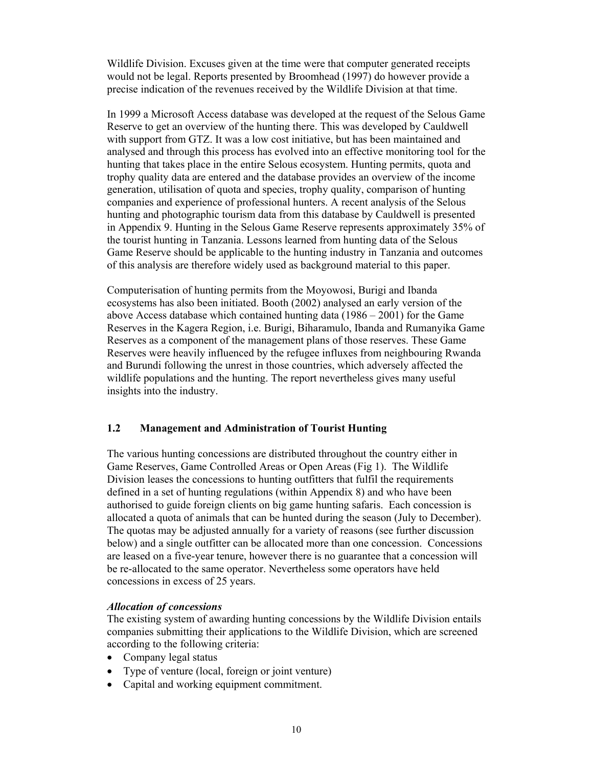Wildlife Division. Excuses given at the time were that computer generated receipts would not be legal. Reports presented by Broomhead (1997) do however provide a precise indication of the revenues received by the Wildlife Division at that time.

In 1999 a Microsoft Access database was developed at the request of the Selous Game Reserve to get an overview of the hunting there. This was developed by Cauldwell with support from GTZ. It was a low cost initiative, but has been maintained and analysed and through this process has evolved into an effective monitoring tool for the hunting that takes place in the entire Selous ecosystem. Hunting permits, quota and trophy quality data are entered and the database provides an overview of the income generation, utilisation of quota and species, trophy quality, comparison of hunting companies and experience of professional hunters. A recent analysis of the Selous hunting and photographic tourism data from this database by Cauldwell is presented in Appendix 9. Hunting in the Selous Game Reserve represents approximately 35% of the tourist hunting in Tanzania. Lessons learned from hunting data of the Selous Game Reserve should be applicable to the hunting industry in Tanzania and outcomes of this analysis are therefore widely used as background material to this paper.

Computerisation of hunting permits from the Moyowosi, Burigi and Ibanda ecosystems has also been initiated. Booth (2002) analysed an early version of the above Access database which contained hunting data (1986 – 2001) for the Game Reserves in the Kagera Region, i.e. Burigi, Biharamulo, Ibanda and Rumanyika Game Reserves as a component of the management plans of those reserves. These Game Reserves were heavily influenced by the refugee influxes from neighbouring Rwanda and Burundi following the unrest in those countries, which adversely affected the wildlife populations and the hunting. The report nevertheless gives many useful insights into the industry.

## **1.2 Management and Administration of Tourist Hunting**

The various hunting concessions are distributed throughout the country either in Game Reserves, Game Controlled Areas or Open Areas (Fig 1). The Wildlife Division leases the concessions to hunting outfitters that fulfil the requirements defined in a set of hunting regulations (within Appendix 8) and who have been authorised to guide foreign clients on big game hunting safaris. Each concession is allocated a quota of animals that can be hunted during the season (July to December). The quotas may be adjusted annually for a variety of reasons (see further discussion below) and a single outfitter can be allocated more than one concession. Concessions are leased on a five-year tenure, however there is no guarantee that a concession will be re-allocated to the same operator. Nevertheless some operators have held concessions in excess of 25 years.

## *Allocation of concessions*

The existing system of awarding hunting concessions by the Wildlife Division entails companies submitting their applications to the Wildlife Division, which are screened according to the following criteria:

- Company legal status
- Type of venture (local, foreign or joint venture)
- Capital and working equipment commitment.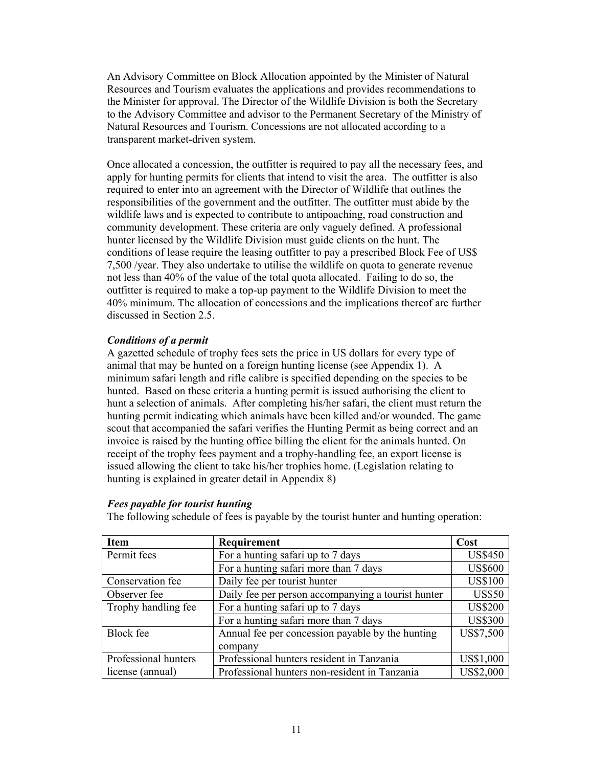An Advisory Committee on Block Allocation appointed by the Minister of Natural Resources and Tourism evaluates the applications and provides recommendations to the Minister for approval. The Director of the Wildlife Division is both the Secretary to the Advisory Committee and advisor to the Permanent Secretary of the Ministry of Natural Resources and Tourism. Concessions are not allocated according to a transparent market-driven system.

Once allocated a concession, the outfitter is required to pay all the necessary fees, and apply for hunting permits for clients that intend to visit the area. The outfitter is also required to enter into an agreement with the Director of Wildlife that outlines the responsibilities of the government and the outfitter. The outfitter must abide by the wildlife laws and is expected to contribute to antipoaching, road construction and community development. These criteria are only vaguely defined. A professional hunter licensed by the Wildlife Division must guide clients on the hunt. The conditions of lease require the leasing outfitter to pay a prescribed Block Fee of US\$ 7,500 /year. They also undertake to utilise the wildlife on quota to generate revenue not less than 40% of the value of the total quota allocated. Failing to do so, the outfitter is required to make a top-up payment to the Wildlife Division to meet the 40% minimum. The allocation of concessions and the implications thereof are further discussed in Section 2.5.

## *Conditions of a permit*

A gazetted schedule of trophy fees sets the price in US dollars for every type of animal that may be hunted on a foreign hunting license (see Appendix 1). A minimum safari length and rifle calibre is specified depending on the species to be hunted. Based on these criteria a hunting permit is issued authorising the client to hunt a selection of animals. After completing his/her safari, the client must return the hunting permit indicating which animals have been killed and/or wounded. The game scout that accompanied the safari verifies the Hunting Permit as being correct and an invoice is raised by the hunting office billing the client for the animals hunted. On receipt of the trophy fees payment and a trophy-handling fee, an export license is issued allowing the client to take his/her trophies home. (Legislation relating to hunting is explained in greater detail in Appendix 8)

| Item                 | Requirement                                        | Cost             |
|----------------------|----------------------------------------------------|------------------|
| Permit fees          | For a hunting safari up to 7 days                  | <b>US\$450</b>   |
|                      | For a hunting safari more than 7 days              | <b>US\$600</b>   |
| Conservation fee     | Daily fee per tourist hunter                       | <b>US\$100</b>   |
| Observer fee         | Daily fee per person accompanying a tourist hunter | <b>US\$50</b>    |
| Trophy handling fee  | For a hunting safari up to 7 days                  | <b>US\$200</b>   |
|                      | For a hunting safari more than 7 days              | <b>US\$300</b>   |
| <b>Block</b> fee     | Annual fee per concession payable by the hunting   | US\$7,500        |
|                      | company                                            |                  |
| Professional hunters | Professional hunters resident in Tanzania          | US\$1,000        |
| license (annual)     | Professional hunters non-resident in Tanzania      | <b>US\$2,000</b> |

*Fees payable for tourist hunting* 

The following schedule of fees is payable by the tourist hunter and hunting operation: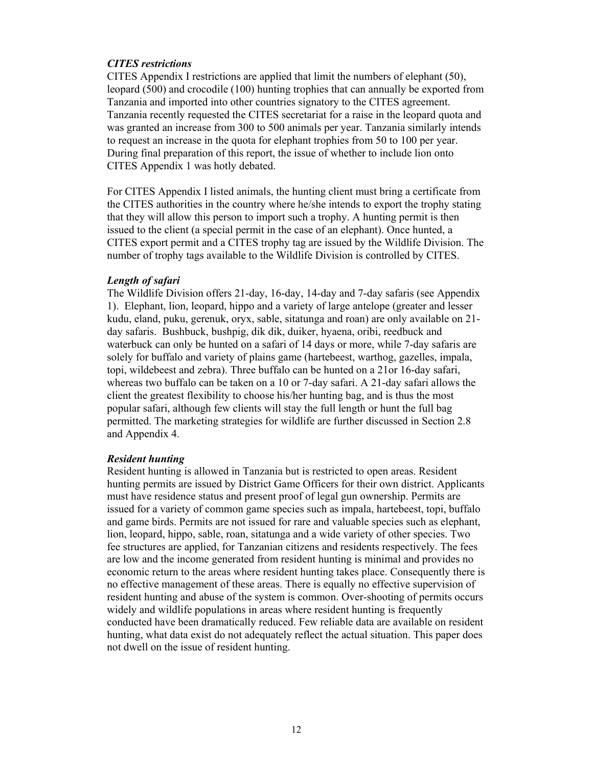## *CITES restrictions*

CITES Appendix I restrictions are applied that limit the numbers of elephant (50), leopard (500) and crocodile (100) hunting trophies that can annually be exported from Tanzania and imported into other countries signatory to the CITES agreement. Tanzania recently requested the CITES secretariat for a raise in the leopard quota and was granted an increase from 300 to 500 animals per year. Tanzania similarly intends to request an increase in the quota for elephant trophies from 50 to 100 per year. During final preparation of this report, the issue of whether to include lion onto CITES Appendix 1 was hotly debated.

For CITES Appendix I listed animals, the hunting client must bring a certificate from the CITES authorities in the country where he/she intends to export the trophy stating that they will allow this person to import such a trophy. A hunting permit is then issued to the client (a special permit in the case of an elephant). Once hunted, a CITES export permit and a CITES trophy tag are issued by the Wildlife Division. The number of trophy tags available to the Wildlife Division is controlled by CITES.

#### *Length of safari*

The Wildlife Division offers 21-day, 16-day, 14-day and 7-day safaris (see Appendix 1). Elephant, lion, leopard, hippo and a variety of large antelope (greater and lesser kudu, eland, puku, gerenuk, oryx, sable, sitatunga and roan) are only available on 21 day safaris. Bushbuck, bushpig, dik dik, duiker, hyaena, oribi, reedbuck and waterbuck can only be hunted on a safari of 14 days or more, while 7-day safaris are solely for buffalo and variety of plains game (hartebeest, warthog, gazelles, impala, topi, wildebeest and zebra). Three buffalo can be hunted on a 21or 16-day safari, whereas two buffalo can be taken on a 10 or 7-day safari. A 21-day safari allows the client the greatest flexibility to choose his/her hunting bag, and is thus the most popular safari, although few clients will stay the full length or hunt the full bag permitted. The marketing strategies for wildlife are further discussed in Section 2.8 and Appendix 4.

#### *Resident hunting*

Resident hunting is allowed in Tanzania but is restricted to open areas. Resident hunting permits are issued by District Game Officers for their own district. Applicants must have residence status and present proof of legal gun ownership. Permits are issued for a variety of common game species such as impala, hartebeest, topi, buffalo and game birds. Permits are not issued for rare and valuable species such as elephant, lion, leopard, hippo, sable, roan, sitatunga and a wide variety of other species. Two fee structures are applied, for Tanzanian citizens and residents respectively. The fees are low and the income generated from resident hunting is minimal and provides no economic return to the areas where resident hunting takes place. Consequently there is no effective management of these areas. There is equally no effective supervision of resident hunting and abuse of the system is common. Over-shooting of permits occurs widely and wildlife populations in areas where resident hunting is frequently conducted have been dramatically reduced. Few reliable data are available on resident hunting, what data exist do not adequately reflect the actual situation. This paper does not dwell on the issue of resident hunting.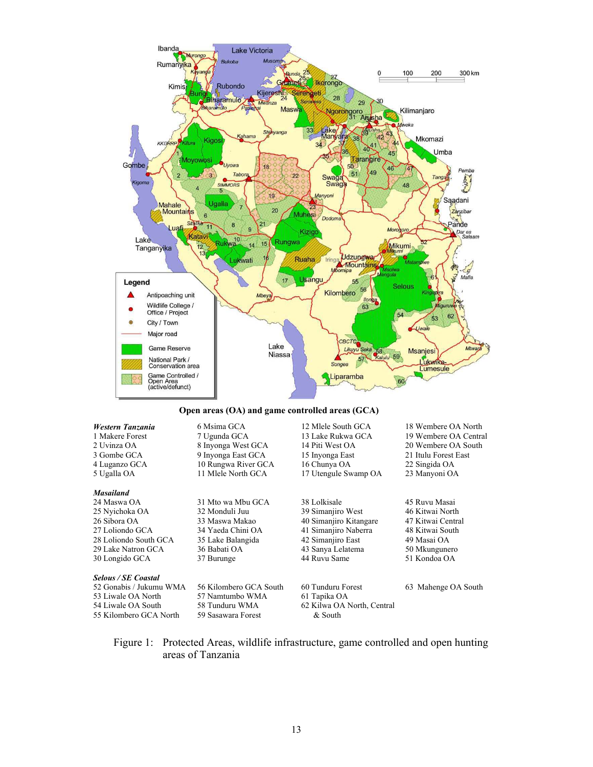

#### **Open areas (OA) and game controlled areas (GCA)**

| Western Tanzania<br>1 Makere Forest<br>2 Uvinza OA<br>3 Gombe GCA<br>4 Luganzo GCA<br>5 Ugalla OA | 6 Msima GCA<br>7 Ugunda GCA<br>8 Inyonga West GCA<br>9 Inyonga East GCA<br>10 Rungwa River GCA<br>11 Mlele North GCA | 12 Mlele South GCA<br>13 Lake Rukwa GCA<br>14 Piti West OA<br>15 Inyonga East<br>16 Chunya OA<br>17 Utengule Swamp OA | 18 Wembere OA North<br>19 Wembere OA Central<br>20 Wembere OA South<br>21 Itulu Forest East<br>22 Singida OA<br>23 Manyoni OA |
|---------------------------------------------------------------------------------------------------|----------------------------------------------------------------------------------------------------------------------|-----------------------------------------------------------------------------------------------------------------------|-------------------------------------------------------------------------------------------------------------------------------|
| <b>Masailand</b>                                                                                  |                                                                                                                      |                                                                                                                       |                                                                                                                               |
| 24 Maswa OA                                                                                       | 31 Mto wa Mbu GCA                                                                                                    | 38 Lolkisale                                                                                                          | 45 Ruvu Masai                                                                                                                 |
| 25 Nyichoka OA                                                                                    | 32 Monduli Juu                                                                                                       | 39 Simanjiro West                                                                                                     | 46 Kitwai North                                                                                                               |
| 26 Sibora OA                                                                                      | 33 Maswa Makao                                                                                                       | 40 Simanjiro Kitangare                                                                                                | 47 Kitwai Central                                                                                                             |
| 27 Loliondo GCA                                                                                   | 34 Yaeda Chini OA                                                                                                    | 41 Simanjiro Naberra                                                                                                  | 48 Kitwai South                                                                                                               |
| 28 Loliondo South GCA                                                                             | 35 Lake Balangida                                                                                                    | 42 Simanjiro East                                                                                                     | 49 Masai OA                                                                                                                   |
| 29 Lake Natron GCA                                                                                | 36 Babati OA                                                                                                         | 43 Sanya Lelatema                                                                                                     | 50 Mkungunero                                                                                                                 |
| 30 Longido GCA                                                                                    | 37 Burunge                                                                                                           | 44 Ruvu Same                                                                                                          | 51 Kondoa OA                                                                                                                  |
| <b>Selous / SE Coastal</b>                                                                        |                                                                                                                      |                                                                                                                       |                                                                                                                               |
| 52 Gonabis / Jukumu WMA                                                                           | 56 Kilombero GCA South                                                                                               | 60 Tunduru Forest                                                                                                     | 63 Mahenge OA South                                                                                                           |
| 53 Liwale OA North                                                                                | 57 Namtumbo WMA                                                                                                      | 61 Tapika OA                                                                                                          |                                                                                                                               |
| 54 Liwale OA South                                                                                | 58 Tunduru WMA                                                                                                       | 62 Kilwa OA North, Central                                                                                            |                                                                                                                               |
| 55 Kilombero GCA North                                                                            | 59 Sasawara Forest                                                                                                   | & South                                                                                                               |                                                                                                                               |

Figure 1: Protected Areas, wildlife infrastructure, game controlled and open hunting areas of Tanzania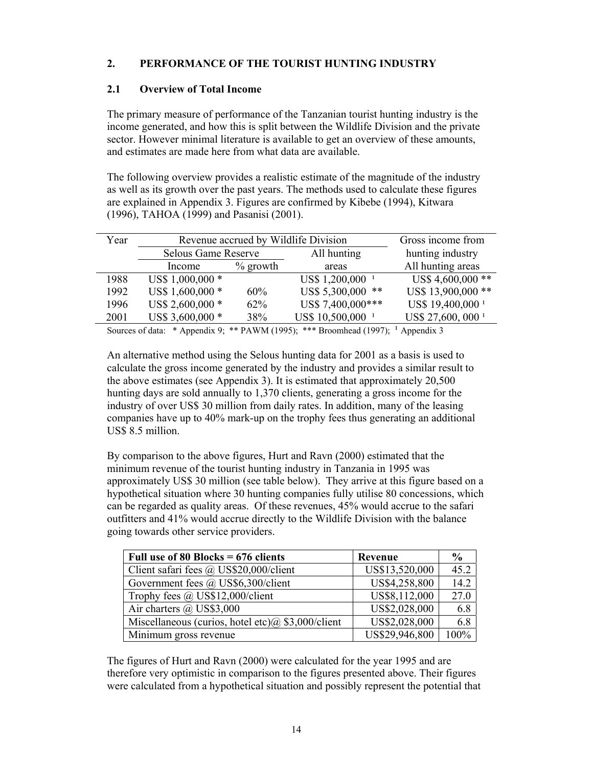# **2. PERFORMANCE OF THE TOURIST HUNTING INDUSTRY**

# **2.1 Overview of Total Income**

The primary measure of performance of the Tanzanian tourist hunting industry is the income generated, and how this is split between the Wildlife Division and the private sector. However minimal literature is available to get an overview of these amounts, and estimates are made here from what data are available.

The following overview provides a realistic estimate of the magnitude of the industry as well as its growth over the past years. The methods used to calculate these figures are explained in Appendix 3. Figures are confirmed by Kibebe (1994), Kitwara (1996), TAHOA (1999) and Pasanisi (2001).

| Year | Revenue accrued by Wildlife Division |             |                              | Gross income from             |
|------|--------------------------------------|-------------|------------------------------|-------------------------------|
|      | <b>Selous Game Reserve</b>           |             | All hunting                  | hunting industry              |
|      | Income                               | $\%$ growth | areas                        | All hunting areas             |
| 1988 | US\$ 1,000,000 *                     |             | US\$ 1,200,000 <sup>1</sup>  | US\$4,600,000**               |
| 1992 | US\$ 1,600,000 *                     | 60%         | US\$ 5,300,000 **            | US\$ 13,900,000 **            |
| 1996 | US\$ 2,600,000 *                     | 62%         | US\$ 7,400,000***            | US\$ 19,400,000 <sup>1</sup>  |
| 2001 | US\$ 3,600,000 *                     | 38%         | US\$ 10,500,000 <sup>1</sup> | US\$ 27,600, 000 <sup>1</sup> |

Sources of data: \* Appendix 9; \*\* PAWM (1995); \*\*\* Broomhead (1997);  $\frac{1}{2}$  Appendix 3

An alternative method using the Selous hunting data for 2001 as a basis is used to calculate the gross income generated by the industry and provides a similar result to the above estimates (see Appendix 3). It is estimated that approximately 20,500 hunting days are sold annually to 1,370 clients, generating a gross income for the industry of over US\$ 30 million from daily rates. In addition, many of the leasing companies have up to 40% mark-up on the trophy fees thus generating an additional US\$ 8.5 million.

By comparison to the above figures, Hurt and Ravn (2000) estimated that the minimum revenue of the tourist hunting industry in Tanzania in 1995 was approximately US\$ 30 million (see table below). They arrive at this figure based on a hypothetical situation where 30 hunting companies fully utilise 80 concessions, which can be regarded as quality areas. Of these revenues, 45% would accrue to the safari outfitters and 41% would accrue directly to the Wildlife Division with the balance going towards other service providers.

| Full use of 80 Blocks = $676$ clients                  | Revenue        | $\frac{6}{9}$ |
|--------------------------------------------------------|----------------|---------------|
| Client safari fees @ US\$20,000/client                 | US\$13,520,000 | 45.2          |
| Government fees @ US\$6,300/client                     | US\$4,258,800  | 14.2          |
| Trophy fees @ US\$12,000/client                        | US\$8,112,000  | 27.0          |
| Air charters $\omega$ US\$3,000                        | US\$2,028,000  | 6.8           |
| Miscellaneous (curios, hotel etc) $(a)$ \$3,000/client | US\$2,028,000  | 6.8           |
| Minimum gross revenue                                  | US\$29,946,800 | 100%          |

The figures of Hurt and Ravn (2000) were calculated for the year 1995 and are therefore very optimistic in comparison to the figures presented above. Their figures were calculated from a hypothetical situation and possibly represent the potential that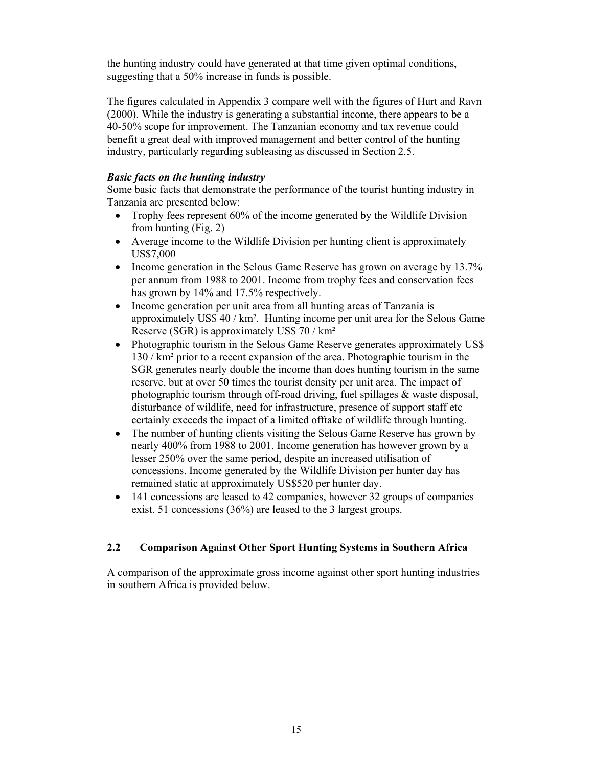the hunting industry could have generated at that time given optimal conditions, suggesting that a 50% increase in funds is possible.

The figures calculated in Appendix 3 compare well with the figures of Hurt and Ravn (2000). While the industry is generating a substantial income, there appears to be a 40-50% scope for improvement. The Tanzanian economy and tax revenue could benefit a great deal with improved management and better control of the hunting industry, particularly regarding subleasing as discussed in Section 2.5.

## *Basic facts on the hunting industry*

Some basic facts that demonstrate the performance of the tourist hunting industry in Tanzania are presented below:

- Trophy fees represent 60% of the income generated by the Wildlife Division from hunting (Fig. 2)
- Average income to the Wildlife Division per hunting client is approximately US\$7,000
- Income generation in the Selous Game Reserve has grown on average by 13.7% per annum from 1988 to 2001. Income from trophy fees and conservation fees has grown by 14% and 17.5% respectively.
- Income generation per unit area from all hunting areas of Tanzania is approximately US\$ 40 / km². Hunting income per unit area for the Selous Game Reserve (SGR) is approximately US\$ 70 / km²
- Photographic tourism in the Selous Game Reserve generates approximately US\$ 130 / km² prior to a recent expansion of the area. Photographic tourism in the SGR generates nearly double the income than does hunting tourism in the same reserve, but at over 50 times the tourist density per unit area. The impact of photographic tourism through off-road driving, fuel spillages & waste disposal, disturbance of wildlife, need for infrastructure, presence of support staff etc certainly exceeds the impact of a limited offtake of wildlife through hunting.
- The number of hunting clients visiting the Selous Game Reserve has grown by nearly 400% from 1988 to 2001. Income generation has however grown by a lesser 250% over the same period, despite an increased utilisation of concessions. Income generated by the Wildlife Division per hunter day has remained static at approximately US\$520 per hunter day.
- 141 concessions are leased to 42 companies, however 32 groups of companies exist. 51 concessions (36%) are leased to the 3 largest groups.

# **2.2 Comparison Against Other Sport Hunting Systems in Southern Africa**

A comparison of the approximate gross income against other sport hunting industries in southern Africa is provided below.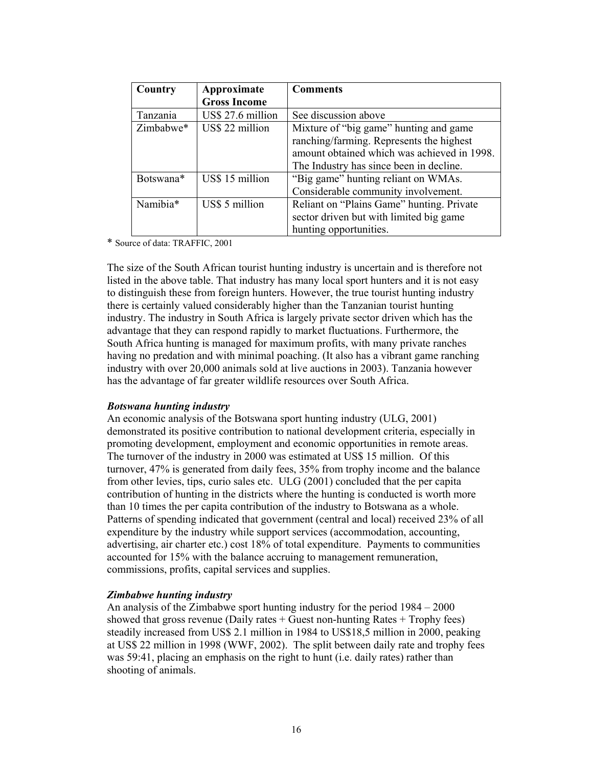| Country   | Approximate         | <b>Comments</b>                                                                                                                                                              |
|-----------|---------------------|------------------------------------------------------------------------------------------------------------------------------------------------------------------------------|
|           | <b>Gross Income</b> |                                                                                                                                                                              |
| Tanzania  | US\$ 27.6 million   | See discussion above                                                                                                                                                         |
| Zimbabwe* | US\$ 22 million     | Mixture of "big game" hunting and game<br>ranching/farming. Represents the highest<br>amount obtained which was achieved in 1998.<br>The Industry has since been in decline. |
| Botswana* | US\$ 15 million     | "Big game" hunting reliant on WMAs.<br>Considerable community involvement.                                                                                                   |
| Namibia*  | US\$ 5 million      | Reliant on "Plains Game" hunting. Private<br>sector driven but with limited big game<br>hunting opportunities.                                                               |

\* Source of data: TRAFFIC, 2001

The size of the South African tourist hunting industry is uncertain and is therefore not listed in the above table. That industry has many local sport hunters and it is not easy to distinguish these from foreign hunters. However, the true tourist hunting industry there is certainly valued considerably higher than the Tanzanian tourist hunting industry. The industry in South Africa is largely private sector driven which has the advantage that they can respond rapidly to market fluctuations. Furthermore, the South Africa hunting is managed for maximum profits, with many private ranches having no predation and with minimal poaching. (It also has a vibrant game ranching industry with over 20,000 animals sold at live auctions in 2003). Tanzania however has the advantage of far greater wildlife resources over South Africa.

#### *Botswana hunting industry*

An economic analysis of the Botswana sport hunting industry (ULG, 2001) demonstrated its positive contribution to national development criteria, especially in promoting development, employment and economic opportunities in remote areas. The turnover of the industry in 2000 was estimated at US\$ 15 million. Of this turnover, 47% is generated from daily fees, 35% from trophy income and the balance from other levies, tips, curio sales etc. ULG (2001) concluded that the per capita contribution of hunting in the districts where the hunting is conducted is worth more than 10 times the per capita contribution of the industry to Botswana as a whole. Patterns of spending indicated that government (central and local) received 23% of all expenditure by the industry while support services (accommodation, accounting, advertising, air charter etc.) cost 18% of total expenditure. Payments to communities accounted for 15% with the balance accruing to management remuneration, commissions, profits, capital services and supplies.

#### *Zimbabwe hunting industry*

An analysis of the Zimbabwe sport hunting industry for the period 1984 – 2000 showed that gross revenue (Daily rates  $+$  Guest non-hunting Rates  $+$  Trophy fees) steadily increased from US\$ 2.1 million in 1984 to US\$18,5 million in 2000, peaking at US\$ 22 million in 1998 (WWF, 2002). The split between daily rate and trophy fees was 59:41, placing an emphasis on the right to hunt (i.e. daily rates) rather than shooting of animals.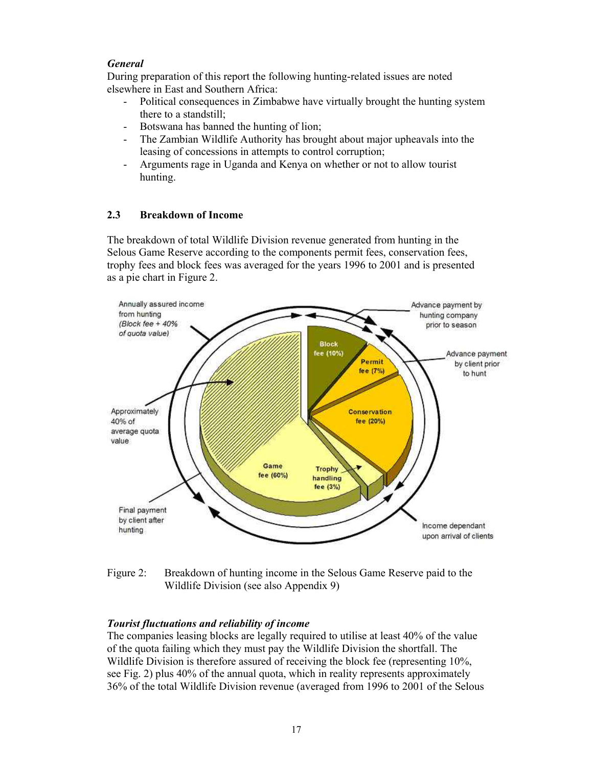# *General*

During preparation of this report the following hunting-related issues are noted elsewhere in East and Southern Africa:

- Political consequences in Zimbabwe have virtually brought the hunting system there to a standstill;
- Botswana has banned the hunting of lion;
- The Zambian Wildlife Authority has brought about major upheavals into the leasing of concessions in attempts to control corruption;
- Arguments rage in Uganda and Kenya on whether or not to allow tourist hunting.

# **2.3 Breakdown of Income**

The breakdown of total Wildlife Division revenue generated from hunting in the Selous Game Reserve according to the components permit fees, conservation fees, trophy fees and block fees was averaged for the years 1996 to 2001 and is presented as a pie chart in Figure 2.



Figure 2: Breakdown of hunting income in the Selous Game Reserve paid to the Wildlife Division (see also Appendix 9)

# *Tourist fluctuations and reliability of income*

The companies leasing blocks are legally required to utilise at least 40% of the value of the quota failing which they must pay the Wildlife Division the shortfall. The Wildlife Division is therefore assured of receiving the block fee (representing  $10\%$ , see Fig. 2) plus 40% of the annual quota, which in reality represents approximately 36% of the total Wildlife Division revenue (averaged from 1996 to 2001 of the Selous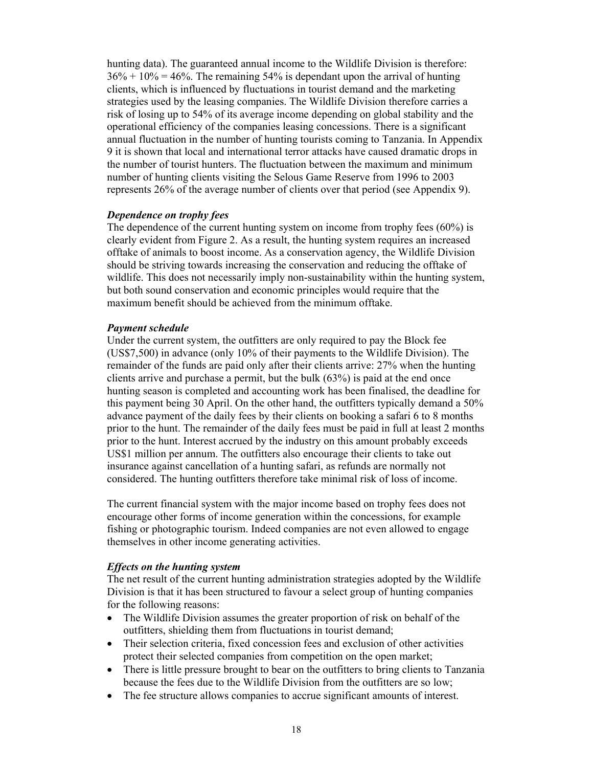hunting data). The guaranteed annual income to the Wildlife Division is therefore:  $36\% + 10\% = 46\%$ . The remaining 54% is dependant upon the arrival of hunting clients, which is influenced by fluctuations in tourist demand and the marketing strategies used by the leasing companies. The Wildlife Division therefore carries a risk of losing up to 54% of its average income depending on global stability and the operational efficiency of the companies leasing concessions. There is a significant annual fluctuation in the number of hunting tourists coming to Tanzania. In Appendix 9 it is shown that local and international terror attacks have caused dramatic drops in the number of tourist hunters. The fluctuation between the maximum and minimum number of hunting clients visiting the Selous Game Reserve from 1996 to 2003 represents 26% of the average number of clients over that period (see Appendix 9).

#### *Dependence on trophy fees*

The dependence of the current hunting system on income from trophy fees (60%) is clearly evident from Figure 2. As a result, the hunting system requires an increased offtake of animals to boost income. As a conservation agency, the Wildlife Division should be striving towards increasing the conservation and reducing the offtake of wildlife. This does not necessarily imply non-sustainability within the hunting system, but both sound conservation and economic principles would require that the maximum benefit should be achieved from the minimum offtake.

#### *Payment schedule*

Under the current system, the outfitters are only required to pay the Block fee (US\$7,500) in advance (only 10% of their payments to the Wildlife Division). The remainder of the funds are paid only after their clients arrive: 27% when the hunting clients arrive and purchase a permit, but the bulk (63%) is paid at the end once hunting season is completed and accounting work has been finalised, the deadline for this payment being 30 April. On the other hand, the outfitters typically demand a 50% advance payment of the daily fees by their clients on booking a safari 6 to 8 months prior to the hunt. The remainder of the daily fees must be paid in full at least 2 months prior to the hunt. Interest accrued by the industry on this amount probably exceeds US\$1 million per annum. The outfitters also encourage their clients to take out insurance against cancellation of a hunting safari, as refunds are normally not considered. The hunting outfitters therefore take minimal risk of loss of income.

The current financial system with the major income based on trophy fees does not encourage other forms of income generation within the concessions, for example fishing or photographic tourism. Indeed companies are not even allowed to engage themselves in other income generating activities.

#### *Effects on the hunting system*

The net result of the current hunting administration strategies adopted by the Wildlife Division is that it has been structured to favour a select group of hunting companies for the following reasons:

- The Wildlife Division assumes the greater proportion of risk on behalf of the outfitters, shielding them from fluctuations in tourist demand;
- Their selection criteria, fixed concession fees and exclusion of other activities protect their selected companies from competition on the open market;
- There is little pressure brought to bear on the outfitters to bring clients to Tanzania because the fees due to the Wildlife Division from the outfitters are so low;
- The fee structure allows companies to accrue significant amounts of interest.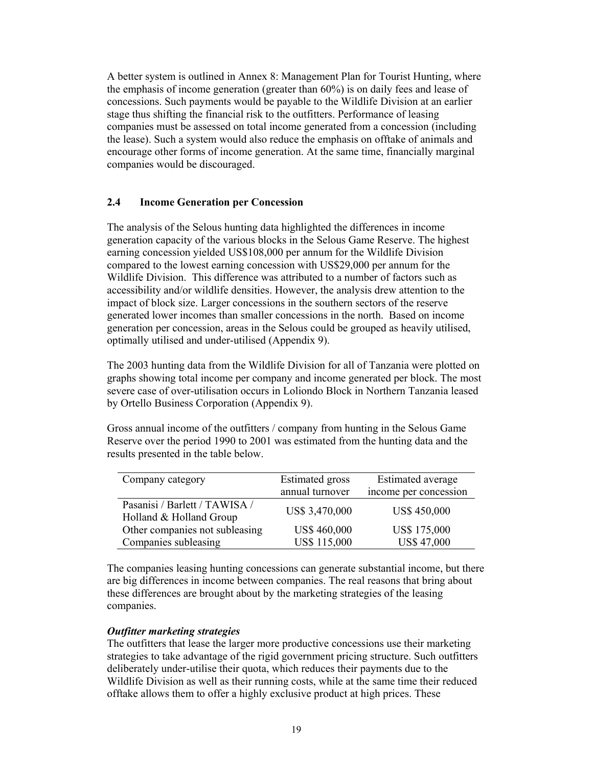A better system is outlined in Annex 8: Management Plan for Tourist Hunting, where the emphasis of income generation (greater than 60%) is on daily fees and lease of concessions. Such payments would be payable to the Wildlife Division at an earlier stage thus shifting the financial risk to the outfitters. Performance of leasing companies must be assessed on total income generated from a concession (including the lease). Such a system would also reduce the emphasis on offtake of animals and encourage other forms of income generation. At the same time, financially marginal companies would be discouraged.

## **2.4 Income Generation per Concession**

The analysis of the Selous hunting data highlighted the differences in income generation capacity of the various blocks in the Selous Game Reserve. The highest earning concession yielded US\$108,000 per annum for the Wildlife Division compared to the lowest earning concession with US\$29,000 per annum for the Wildlife Division. This difference was attributed to a number of factors such as accessibility and/or wildlife densities. However, the analysis drew attention to the impact of block size. Larger concessions in the southern sectors of the reserve generated lower incomes than smaller concessions in the north. Based on income generation per concession, areas in the Selous could be grouped as heavily utilised, optimally utilised and under-utilised (Appendix 9).

The 2003 hunting data from the Wildlife Division for all of Tanzania were plotted on graphs showing total income per company and income generated per block. The most severe case of over-utilisation occurs in Loliondo Block in Northern Tanzania leased by Ortello Business Corporation (Appendix 9).

Gross annual income of the outfitters / company from hunting in the Selous Game Reserve over the period 1990 to 2001 was estimated from the hunting data and the results presented in the table below.

| Company category                                         | <b>Estimated</b> gross | Estimated average     |
|----------------------------------------------------------|------------------------|-----------------------|
|                                                          | annual turnover        | income per concession |
| Pasanisi / Barlett / TAWISA /<br>Holland & Holland Group | US\$ 3,470,000         | <b>US\$ 450,000</b>   |
| Other companies not subleasing                           | US\$460,000            | US\$ 175,000          |
| Companies subleasing                                     | US\$ 115,000           | <b>US\$47,000</b>     |

The companies leasing hunting concessions can generate substantial income, but there are big differences in income between companies. The real reasons that bring about these differences are brought about by the marketing strategies of the leasing companies.

## *Outfitter marketing strategies*

The outfitters that lease the larger more productive concessions use their marketing strategies to take advantage of the rigid government pricing structure. Such outfitters deliberately under-utilise their quota, which reduces their payments due to the Wildlife Division as well as their running costs, while at the same time their reduced offtake allows them to offer a highly exclusive product at high prices. These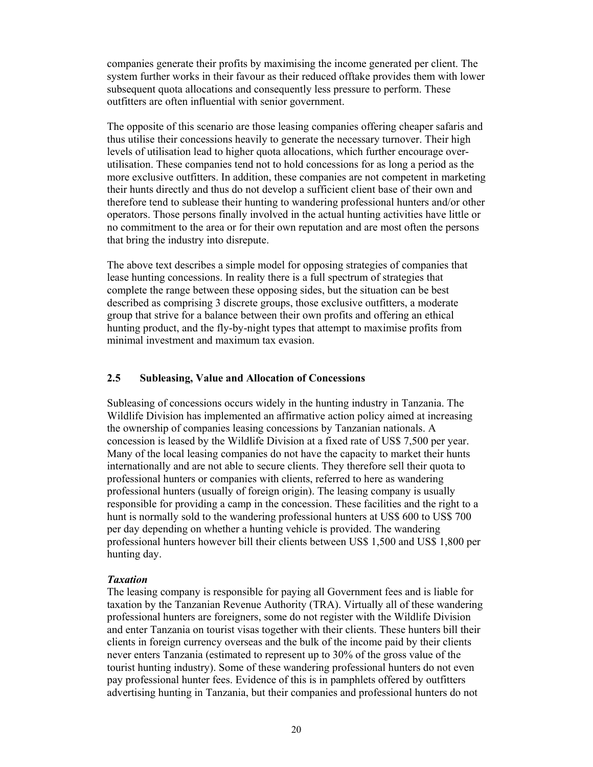companies generate their profits by maximising the income generated per client. The system further works in their favour as their reduced offtake provides them with lower subsequent quota allocations and consequently less pressure to perform. These outfitters are often influential with senior government.

The opposite of this scenario are those leasing companies offering cheaper safaris and thus utilise their concessions heavily to generate the necessary turnover. Their high levels of utilisation lead to higher quota allocations, which further encourage overutilisation. These companies tend not to hold concessions for as long a period as the more exclusive outfitters. In addition, these companies are not competent in marketing their hunts directly and thus do not develop a sufficient client base of their own and therefore tend to sublease their hunting to wandering professional hunters and/or other operators. Those persons finally involved in the actual hunting activities have little or no commitment to the area or for their own reputation and are most often the persons that bring the industry into disrepute.

The above text describes a simple model for opposing strategies of companies that lease hunting concessions. In reality there is a full spectrum of strategies that complete the range between these opposing sides, but the situation can be best described as comprising 3 discrete groups, those exclusive outfitters, a moderate group that strive for a balance between their own profits and offering an ethical hunting product, and the fly-by-night types that attempt to maximise profits from minimal investment and maximum tax evasion.

## **2.5 Subleasing, Value and Allocation of Concessions**

Subleasing of concessions occurs widely in the hunting industry in Tanzania. The Wildlife Division has implemented an affirmative action policy aimed at increasing the ownership of companies leasing concessions by Tanzanian nationals. A concession is leased by the Wildlife Division at a fixed rate of US\$ 7,500 per year. Many of the local leasing companies do not have the capacity to market their hunts internationally and are not able to secure clients. They therefore sell their quota to professional hunters or companies with clients, referred to here as wandering professional hunters (usually of foreign origin). The leasing company is usually responsible for providing a camp in the concession. These facilities and the right to a hunt is normally sold to the wandering professional hunters at US\$ 600 to US\$ 700 per day depending on whether a hunting vehicle is provided. The wandering professional hunters however bill their clients between US\$ 1,500 and US\$ 1,800 per hunting day.

#### *Taxation*

The leasing company is responsible for paying all Government fees and is liable for taxation by the Tanzanian Revenue Authority (TRA). Virtually all of these wandering professional hunters are foreigners, some do not register with the Wildlife Division and enter Tanzania on tourist visas together with their clients. These hunters bill their clients in foreign currency overseas and the bulk of the income paid by their clients never enters Tanzania (estimated to represent up to 30% of the gross value of the tourist hunting industry). Some of these wandering professional hunters do not even pay professional hunter fees. Evidence of this is in pamphlets offered by outfitters advertising hunting in Tanzania, but their companies and professional hunters do not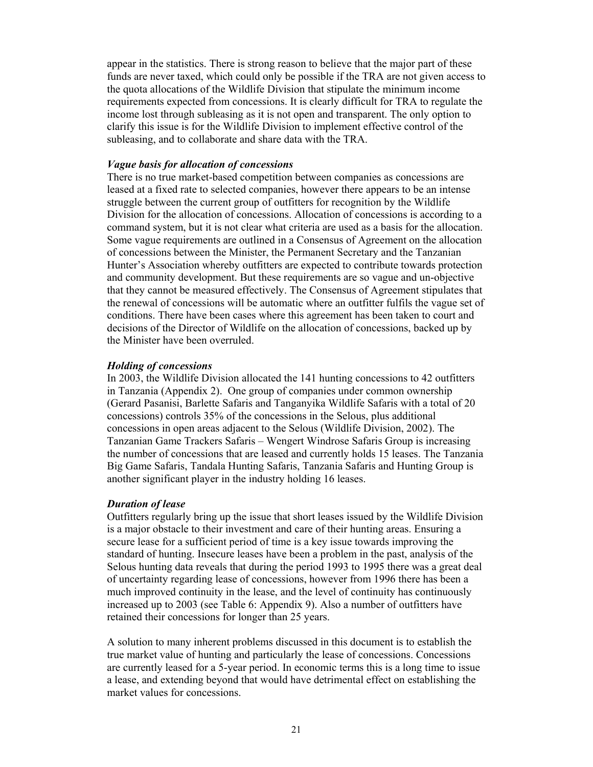appear in the statistics. There is strong reason to believe that the major part of these funds are never taxed, which could only be possible if the TRA are not given access to the quota allocations of the Wildlife Division that stipulate the minimum income requirements expected from concessions. It is clearly difficult for TRA to regulate the income lost through subleasing as it is not open and transparent. The only option to clarify this issue is for the Wildlife Division to implement effective control of the subleasing, and to collaborate and share data with the TRA.

#### *Vague basis for allocation of concessions*

There is no true market-based competition between companies as concessions are leased at a fixed rate to selected companies, however there appears to be an intense struggle between the current group of outfitters for recognition by the Wildlife Division for the allocation of concessions. Allocation of concessions is according to a command system, but it is not clear what criteria are used as a basis for the allocation. Some vague requirements are outlined in a Consensus of Agreement on the allocation of concessions between the Minister, the Permanent Secretary and the Tanzanian Hunter's Association whereby outfitters are expected to contribute towards protection and community development. But these requirements are so vague and un-objective that they cannot be measured effectively. The Consensus of Agreement stipulates that the renewal of concessions will be automatic where an outfitter fulfils the vague set of conditions. There have been cases where this agreement has been taken to court and decisions of the Director of Wildlife on the allocation of concessions, backed up by the Minister have been overruled.

#### *Holding of concessions*

In 2003, the Wildlife Division allocated the 141 hunting concessions to 42 outfitters in Tanzania (Appendix 2). One group of companies under common ownership (Gerard Pasanisi, Barlette Safaris and Tanganyika Wildlife Safaris with a total of 20 concessions) controls 35% of the concessions in the Selous, plus additional concessions in open areas adjacent to the Selous (Wildlife Division, 2002). The Tanzanian Game Trackers Safaris – Wengert Windrose Safaris Group is increasing the number of concessions that are leased and currently holds 15 leases. The Tanzania Big Game Safaris, Tandala Hunting Safaris, Tanzania Safaris and Hunting Group is another significant player in the industry holding 16 leases.

#### *Duration of lease*

Outfitters regularly bring up the issue that short leases issued by the Wildlife Division is a major obstacle to their investment and care of their hunting areas. Ensuring a secure lease for a sufficient period of time is a key issue towards improving the standard of hunting. Insecure leases have been a problem in the past, analysis of the Selous hunting data reveals that during the period 1993 to 1995 there was a great deal of uncertainty regarding lease of concessions, however from 1996 there has been a much improved continuity in the lease, and the level of continuity has continuously increased up to 2003 (see Table 6: Appendix 9). Also a number of outfitters have retained their concessions for longer than 25 years.

A solution to many inherent problems discussed in this document is to establish the true market value of hunting and particularly the lease of concessions. Concessions are currently leased for a 5-year period. In economic terms this is a long time to issue a lease, and extending beyond that would have detrimental effect on establishing the market values for concessions.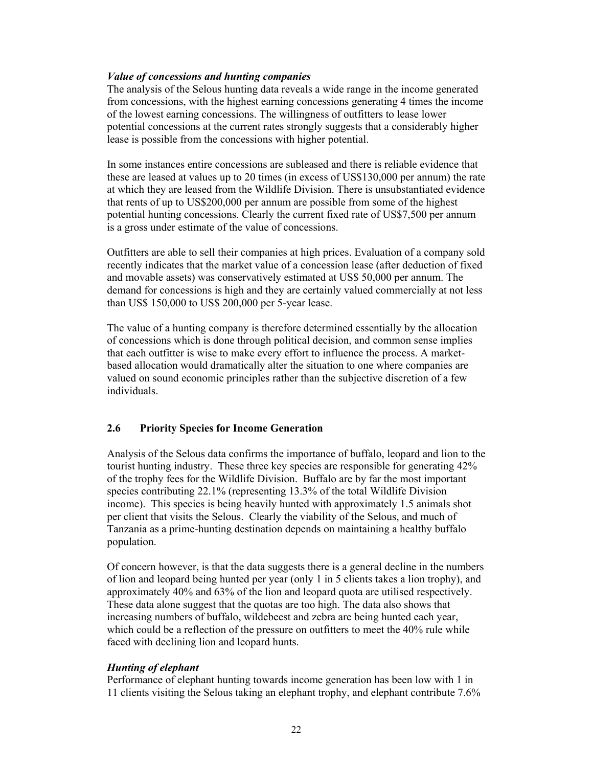## *Value of concessions and hunting companies*

The analysis of the Selous hunting data reveals a wide range in the income generated from concessions, with the highest earning concessions generating 4 times the income of the lowest earning concessions. The willingness of outfitters to lease lower potential concessions at the current rates strongly suggests that a considerably higher lease is possible from the concessions with higher potential.

In some instances entire concessions are subleased and there is reliable evidence that these are leased at values up to 20 times (in excess of US\$130,000 per annum) the rate at which they are leased from the Wildlife Division. There is unsubstantiated evidence that rents of up to US\$200,000 per annum are possible from some of the highest potential hunting concessions. Clearly the current fixed rate of US\$7,500 per annum is a gross under estimate of the value of concessions.

Outfitters are able to sell their companies at high prices. Evaluation of a company sold recently indicates that the market value of a concession lease (after deduction of fixed and movable assets) was conservatively estimated at US\$ 50,000 per annum. The demand for concessions is high and they are certainly valued commercially at not less than US\$ 150,000 to US\$ 200,000 per 5-year lease.

The value of a hunting company is therefore determined essentially by the allocation of concessions which is done through political decision, and common sense implies that each outfitter is wise to make every effort to influence the process. A marketbased allocation would dramatically alter the situation to one where companies are valued on sound economic principles rather than the subjective discretion of a few individuals.

# **2.6 Priority Species for Income Generation**

Analysis of the Selous data confirms the importance of buffalo, leopard and lion to the tourist hunting industry. These three key species are responsible for generating 42% of the trophy fees for the Wildlife Division. Buffalo are by far the most important species contributing 22.1% (representing 13.3% of the total Wildlife Division income). This species is being heavily hunted with approximately 1.5 animals shot per client that visits the Selous. Clearly the viability of the Selous, and much of Tanzania as a prime-hunting destination depends on maintaining a healthy buffalo population.

Of concern however, is that the data suggests there is a general decline in the numbers of lion and leopard being hunted per year (only 1 in 5 clients takes a lion trophy), and approximately 40% and 63% of the lion and leopard quota are utilised respectively. These data alone suggest that the quotas are too high. The data also shows that increasing numbers of buffalo, wildebeest and zebra are being hunted each year, which could be a reflection of the pressure on outfitters to meet the 40% rule while faced with declining lion and leopard hunts.

# *Hunting of elephant*

Performance of elephant hunting towards income generation has been low with 1 in 11 clients visiting the Selous taking an elephant trophy, and elephant contribute 7.6%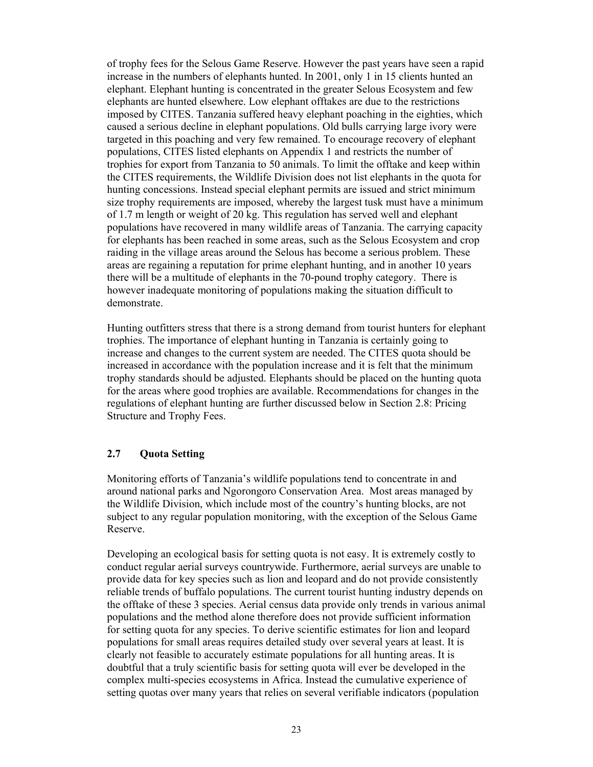of trophy fees for the Selous Game Reserve. However the past years have seen a rapid increase in the numbers of elephants hunted. In 2001, only 1 in 15 clients hunted an elephant. Elephant hunting is concentrated in the greater Selous Ecosystem and few elephants are hunted elsewhere. Low elephant offtakes are due to the restrictions imposed by CITES. Tanzania suffered heavy elephant poaching in the eighties, which caused a serious decline in elephant populations. Old bulls carrying large ivory were targeted in this poaching and very few remained. To encourage recovery of elephant populations, CITES listed elephants on Appendix 1 and restricts the number of trophies for export from Tanzania to 50 animals. To limit the offtake and keep within the CITES requirements, the Wildlife Division does not list elephants in the quota for hunting concessions. Instead special elephant permits are issued and strict minimum size trophy requirements are imposed, whereby the largest tusk must have a minimum of 1.7 m length or weight of 20 kg. This regulation has served well and elephant populations have recovered in many wildlife areas of Tanzania. The carrying capacity for elephants has been reached in some areas, such as the Selous Ecosystem and crop raiding in the village areas around the Selous has become a serious problem. These areas are regaining a reputation for prime elephant hunting, and in another 10 years there will be a multitude of elephants in the 70-pound trophy category. There is however inadequate monitoring of populations making the situation difficult to demonstrate.

Hunting outfitters stress that there is a strong demand from tourist hunters for elephant trophies. The importance of elephant hunting in Tanzania is certainly going to increase and changes to the current system are needed. The CITES quota should be increased in accordance with the population increase and it is felt that the minimum trophy standards should be adjusted. Elephants should be placed on the hunting quota for the areas where good trophies are available. Recommendations for changes in the regulations of elephant hunting are further discussed below in Section 2.8: Pricing Structure and Trophy Fees.

## **2.7 Quota Setting**

Monitoring efforts of Tanzania's wildlife populations tend to concentrate in and around national parks and Ngorongoro Conservation Area. Most areas managed by the Wildlife Division, which include most of the country's hunting blocks, are not subject to any regular population monitoring, with the exception of the Selous Game Reserve.

Developing an ecological basis for setting quota is not easy. It is extremely costly to conduct regular aerial surveys countrywide. Furthermore, aerial surveys are unable to provide data for key species such as lion and leopard and do not provide consistently reliable trends of buffalo populations. The current tourist hunting industry depends on the offtake of these 3 species. Aerial census data provide only trends in various animal populations and the method alone therefore does not provide sufficient information for setting quota for any species. To derive scientific estimates for lion and leopard populations for small areas requires detailed study over several years at least. It is clearly not feasible to accurately estimate populations for all hunting areas. It is doubtful that a truly scientific basis for setting quota will ever be developed in the complex multi-species ecosystems in Africa. Instead the cumulative experience of setting quotas over many years that relies on several verifiable indicators (population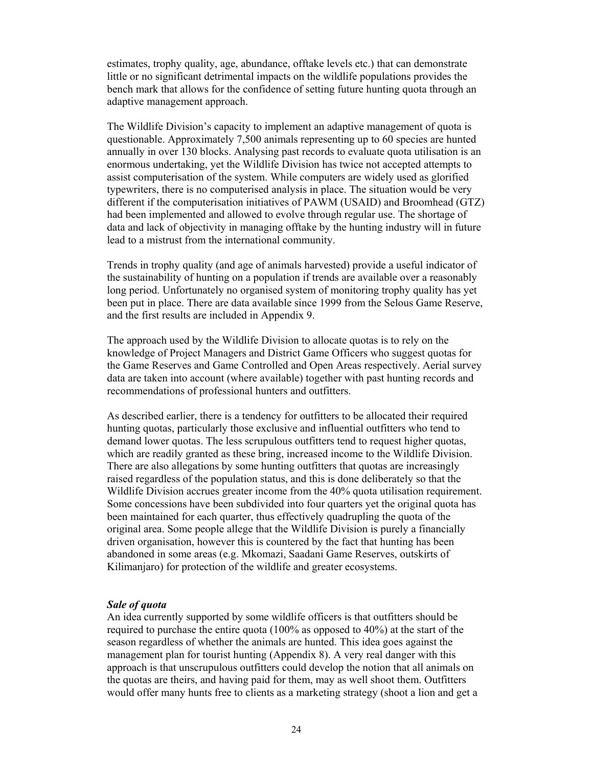estimates, trophy quality, age, abundance, offtake levels etc.) that can demonstrate little or no significant detrimental impacts on the wildlife populations provides the bench mark that allows for the confidence of setting future hunting quota through an adaptive management approach.

The Wildlife Division's capacity to implement an adaptive management of quota is questionable. Approximately 7,500 animals representing up to 60 species are hunted annually in over 130 blocks. Analysing past records to evaluate quota utilisation is an enormous undertaking, yet the Wildlife Division has twice not accepted attempts to assist computerisation of the system. While computers are widely used as glorified typewriters, there is no computerised analysis in place. The situation would be very different if the computerisation initiatives of PAWM (USAID) and Broomhead (GTZ) had been implemented and allowed to evolve through regular use. The shortage of data and lack of objectivity in managing offtake by the hunting industry will in future lead to a mistrust from the international community.

Trends in trophy quality (and age of animals harvested) provide a useful indicator of the sustainability of hunting on a population if trends are available over a reasonably long period. Unfortunately no organised system of monitoring trophy quality has yet been put in place. There are data available since 1999 from the Selous Game Reserve, and the first results are included in Appendix 9.

The approach used by the Wildlife Division to allocate quotas is to rely on the knowledge of Project Managers and District Game Officers who suggest quotas for the Game Reserves and Game Controlled and Open Areas respectively. Aerial survey data are taken into account (where available) together with past hunting records and recommendations of professional hunters and outfitters.

As described earlier, there is a tendency for outfitters to be allocated their required hunting quotas, particularly those exclusive and influential outfitters who tend to demand lower quotas. The less scrupulous outfitters tend to request higher quotas, which are readily granted as these bring, increased income to the Wildlife Division. There are also allegations by some hunting outfitters that quotas are increasingly raised regardless of the population status, and this is done deliberately so that the Wildlife Division accrues greater income from the 40% quota utilisation requirement. Some concessions have been subdivided into four quarters yet the original quota has been maintained for each quarter, thus effectively quadrupling the quota of the original area. Some people allege that the Wildlife Division is purely a financially driven organisation, however this is countered by the fact that hunting has been abandoned in some areas (e.g. Mkomazi, Saadani Game Reserves, outskirts of Kilimanjaro) for protection of the wildlife and greater ecosystems.

#### *Sale of quota*

An idea currently supported by some wildlife officers is that outfitters should be required to purchase the entire quota (100% as opposed to 40%) at the start of the season regardless of whether the animals are hunted. This idea goes against the management plan for tourist hunting (Appendix 8). A very real danger with this approach is that unscrupulous outfitters could develop the notion that all animals on the quotas are theirs, and having paid for them, may as well shoot them. Outfitters would offer many hunts free to clients as a marketing strategy (shoot a lion and get a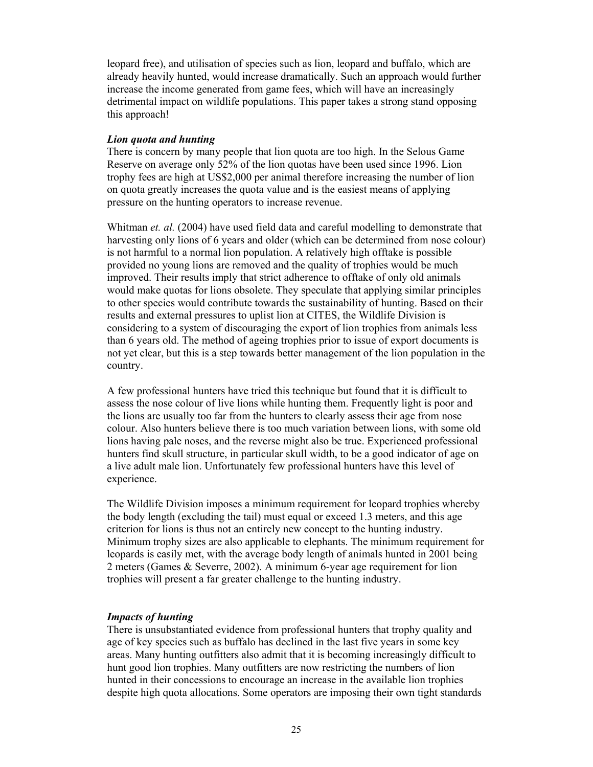leopard free), and utilisation of species such as lion, leopard and buffalo, which are already heavily hunted, would increase dramatically. Such an approach would further increase the income generated from game fees, which will have an increasingly detrimental impact on wildlife populations. This paper takes a strong stand opposing this approach!

#### *Lion quota and hunting*

There is concern by many people that lion quota are too high. In the Selous Game Reserve on average only 52% of the lion quotas have been used since 1996. Lion trophy fees are high at US\$2,000 per animal therefore increasing the number of lion on quota greatly increases the quota value and is the easiest means of applying pressure on the hunting operators to increase revenue.

Whitman *et. al.* (2004) have used field data and careful modelling to demonstrate that harvesting only lions of 6 years and older (which can be determined from nose colour) is not harmful to a normal lion population. A relatively high offtake is possible provided no young lions are removed and the quality of trophies would be much improved. Their results imply that strict adherence to offtake of only old animals would make quotas for lions obsolete. They speculate that applying similar principles to other species would contribute towards the sustainability of hunting. Based on their results and external pressures to uplist lion at CITES, the Wildlife Division is considering to a system of discouraging the export of lion trophies from animals less than 6 years old. The method of ageing trophies prior to issue of export documents is not yet clear, but this is a step towards better management of the lion population in the country.

A few professional hunters have tried this technique but found that it is difficult to assess the nose colour of live lions while hunting them. Frequently light is poor and the lions are usually too far from the hunters to clearly assess their age from nose colour. Also hunters believe there is too much variation between lions, with some old lions having pale noses, and the reverse might also be true. Experienced professional hunters find skull structure, in particular skull width, to be a good indicator of age on a live adult male lion. Unfortunately few professional hunters have this level of experience.

The Wildlife Division imposes a minimum requirement for leopard trophies whereby the body length (excluding the tail) must equal or exceed 1.3 meters, and this age criterion for lions is thus not an entirely new concept to the hunting industry. Minimum trophy sizes are also applicable to elephants. The minimum requirement for leopards is easily met, with the average body length of animals hunted in 2001 being 2 meters (Games & Severre, 2002). A minimum 6-year age requirement for lion trophies will present a far greater challenge to the hunting industry.

## *Impacts of hunting*

There is unsubstantiated evidence from professional hunters that trophy quality and age of key species such as buffalo has declined in the last five years in some key areas. Many hunting outfitters also admit that it is becoming increasingly difficult to hunt good lion trophies. Many outfitters are now restricting the numbers of lion hunted in their concessions to encourage an increase in the available lion trophies despite high quota allocations. Some operators are imposing their own tight standards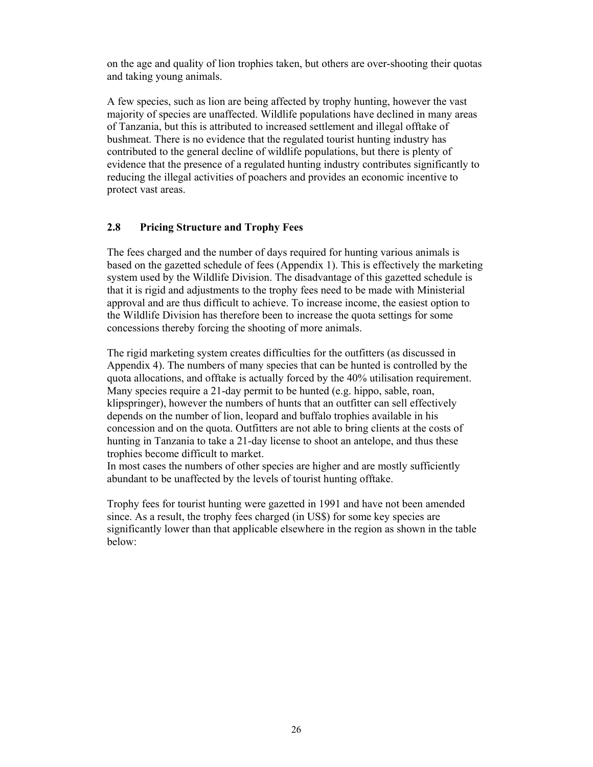on the age and quality of lion trophies taken, but others are over-shooting their quotas and taking young animals.

A few species, such as lion are being affected by trophy hunting, however the vast majority of species are unaffected. Wildlife populations have declined in many areas of Tanzania, but this is attributed to increased settlement and illegal offtake of bushmeat. There is no evidence that the regulated tourist hunting industry has contributed to the general decline of wildlife populations, but there is plenty of evidence that the presence of a regulated hunting industry contributes significantly to reducing the illegal activities of poachers and provides an economic incentive to protect vast areas.

## **2.8 Pricing Structure and Trophy Fees**

The fees charged and the number of days required for hunting various animals is based on the gazetted schedule of fees (Appendix 1). This is effectively the marketing system used by the Wildlife Division. The disadvantage of this gazetted schedule is that it is rigid and adjustments to the trophy fees need to be made with Ministerial approval and are thus difficult to achieve. To increase income, the easiest option to the Wildlife Division has therefore been to increase the quota settings for some concessions thereby forcing the shooting of more animals.

The rigid marketing system creates difficulties for the outfitters (as discussed in Appendix 4). The numbers of many species that can be hunted is controlled by the quota allocations, and offtake is actually forced by the 40% utilisation requirement. Many species require a 21-day permit to be hunted (e.g. hippo, sable, roan, klipspringer), however the numbers of hunts that an outfitter can sell effectively depends on the number of lion, leopard and buffalo trophies available in his concession and on the quota. Outfitters are not able to bring clients at the costs of hunting in Tanzania to take a 21-day license to shoot an antelope, and thus these trophies become difficult to market.

In most cases the numbers of other species are higher and are mostly sufficiently abundant to be unaffected by the levels of tourist hunting offtake.

Trophy fees for tourist hunting were gazetted in 1991 and have not been amended since. As a result, the trophy fees charged (in US\$) for some key species are significantly lower than that applicable elsewhere in the region as shown in the table below: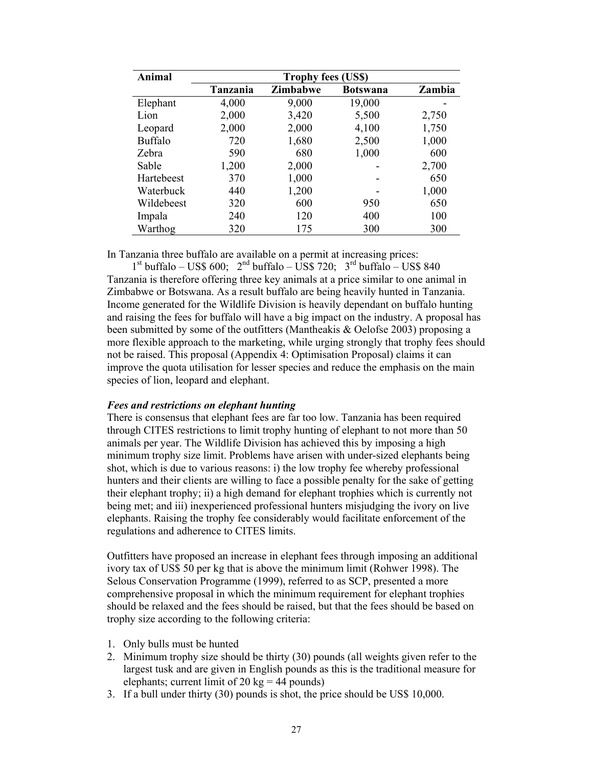| Animal         | <b>Trophy fees (US\$)</b> |          |                 |        |
|----------------|---------------------------|----------|-----------------|--------|
|                | <b>Tanzania</b>           | Zimbabwe | <b>Botswana</b> | Zambia |
| Elephant       | 4,000                     | 9,000    | 19,000          |        |
| Lion           | 2,000                     | 3,420    | 5,500           | 2,750  |
| Leopard        | 2,000                     | 2,000    | 4,100           | 1,750  |
| <b>Buffalo</b> | 720                       | 1,680    | 2,500           | 1,000  |
| Zebra          | 590                       | 680      | 1,000           | 600    |
| Sable          | 1,200                     | 2,000    |                 | 2,700  |
| Hartebeest     | 370                       | 1,000    |                 | 650    |
| Waterbuck      | 440                       | 1,200    |                 | 1,000  |
| Wildebeest     | 320                       | 600      | 950             | 650    |
| Impala         | 240                       | 120      | 400             | 100    |
| Warthog        | 320                       | 175      | 300             | 300    |

In Tanzania three buffalo are available on a permit at increasing prices:

 $1<sup>st</sup>$  buffalo – US\$ 600;  $2<sup>nd</sup>$  buffalo – US\$ 720;  $3<sup>rd</sup>$  buffalo – US\$ 840 Tanzania is therefore offering three key animals at a price similar to one animal in Zimbabwe or Botswana. As a result buffalo are being heavily hunted in Tanzania. Income generated for the Wildlife Division is heavily dependant on buffalo hunting and raising the fees for buffalo will have a big impact on the industry. A proposal has been submitted by some of the outfitters (Mantheakis & Oelofse 2003) proposing a more flexible approach to the marketing, while urging strongly that trophy fees should not be raised. This proposal (Appendix 4: Optimisation Proposal) claims it can improve the quota utilisation for lesser species and reduce the emphasis on the main species of lion, leopard and elephant.

## *Fees and restrictions on elephant hunting*

There is consensus that elephant fees are far too low. Tanzania has been required through CITES restrictions to limit trophy hunting of elephant to not more than 50 animals per year. The Wildlife Division has achieved this by imposing a high minimum trophy size limit. Problems have arisen with under-sized elephants being shot, which is due to various reasons: i) the low trophy fee whereby professional hunters and their clients are willing to face a possible penalty for the sake of getting their elephant trophy; ii) a high demand for elephant trophies which is currently not being met; and iii) inexperienced professional hunters misjudging the ivory on live elephants. Raising the trophy fee considerably would facilitate enforcement of the regulations and adherence to CITES limits.

Outfitters have proposed an increase in elephant fees through imposing an additional ivory tax of US\$ 50 per kg that is above the minimum limit (Rohwer 1998). The Selous Conservation Programme (1999), referred to as SCP, presented a more comprehensive proposal in which the minimum requirement for elephant trophies should be relaxed and the fees should be raised, but that the fees should be based on trophy size according to the following criteria:

- 1. Only bulls must be hunted
- 2. Minimum trophy size should be thirty (30) pounds (all weights given refer to the largest tusk and are given in English pounds as this is the traditional measure for elephants; current limit of 20 kg = 44 pounds)
- 3. If a bull under thirty (30) pounds is shot, the price should be US\$ 10,000.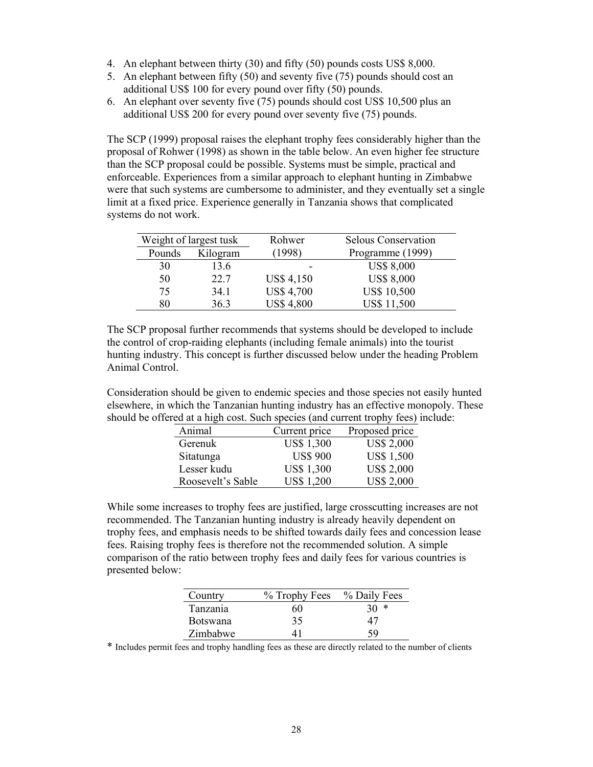- 4. An elephant between thirty (30) and fifty (50) pounds costs US\$ 8,000.
- 5. An elephant between fifty (50) and seventy five (75) pounds should cost an additional US\$ 100 for every pound over fifty (50) pounds.
- 6. An elephant over seventy five (75) pounds should cost US\$ 10,500 plus an additional US\$ 200 for every pound over seventy five (75) pounds.

The SCP (1999) proposal raises the elephant trophy fees considerably higher than the proposal of Rohwer (1998) as shown in the table below. An even higher fee structure than the SCP proposal could be possible. Systems must be simple, practical and enforceable. Experiences from a similar approach to elephant hunting in Zimbabwe were that such systems are cumbersome to administer, and they eventually set a single limit at a fixed price. Experience generally in Tanzania shows that complicated systems do not work.

| Weight of largest tusk |          | Rohwer            | <b>Selous Conservation</b> |
|------------------------|----------|-------------------|----------------------------|
| Pounds                 | Kilogram | (1998)            | Programme (1999)           |
| 30                     | 13.6     |                   | <b>US\$ 8,000</b>          |
| 50                     | 22.7     | <b>US\$ 4,150</b> | <b>US\$ 8,000</b>          |
| 75                     | 34.1     | <b>US\$ 4,700</b> | <b>US\$ 10,500</b>         |
| 80                     | 36.3     | <b>US\$ 4,800</b> | <b>US\$ 11,500</b>         |

The SCP proposal further recommends that systems should be developed to include the control of crop-raiding elephants (including female animals) into the tourist hunting industry. This concept is further discussed below under the heading Problem Animal Control.

Consideration should be given to endemic species and those species not easily hunted elsewhere, in which the Tanzanian hunting industry has an effective monopoly. These should be offered at a high cost. Such species (and current trophy fees) include:

| Animal            | Current price     | Proposed price    |
|-------------------|-------------------|-------------------|
| Gerenuk           | <b>US\$ 1,300</b> | <b>US\$ 2,000</b> |
| Sitatunga         | <b>US\$ 900</b>   | <b>US\$ 1,500</b> |
| Lesser kudu       | <b>US\$ 1,300</b> | <b>US\$ 2,000</b> |
| Roosevelt's Sable | <b>US\$1,200</b>  | <b>US\$ 2,000</b> |

While some increases to trophy fees are justified, large crosscutting increases are not recommended. The Tanzanian hunting industry is already heavily dependent on trophy fees, and emphasis needs to be shifted towards daily fees and concession lease fees. Raising trophy fees is therefore not the recommended solution. A simple comparison of the ratio between trophy fees and daily fees for various countries is presented below:

| Country         | % Trophy Fees % Daily Fees |    |
|-----------------|----------------------------|----|
| Tanzania        | 60                         | ∗  |
| <b>Botswana</b> | 35                         | 47 |
| Zimbabwe        | $\Delta$                   | 59 |

\* Includes permit fees and trophy handling fees as these are directly related to the number of clients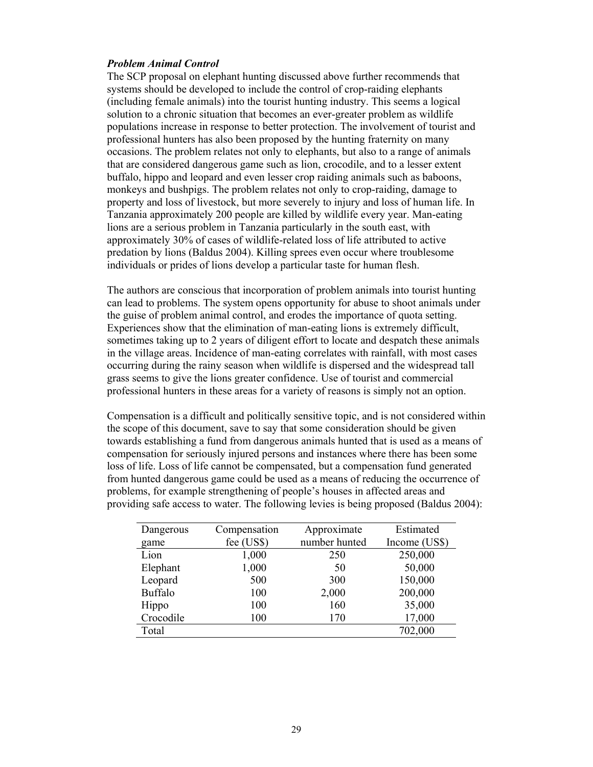#### *Problem Animal Control*

The SCP proposal on elephant hunting discussed above further recommends that systems should be developed to include the control of crop-raiding elephants (including female animals) into the tourist hunting industry. This seems a logical solution to a chronic situation that becomes an ever-greater problem as wildlife populations increase in response to better protection. The involvement of tourist and professional hunters has also been proposed by the hunting fraternity on many occasions. The problem relates not only to elephants, but also to a range of animals that are considered dangerous game such as lion, crocodile, and to a lesser extent buffalo, hippo and leopard and even lesser crop raiding animals such as baboons, monkeys and bushpigs. The problem relates not only to crop-raiding, damage to property and loss of livestock, but more severely to injury and loss of human life. In Tanzania approximately 200 people are killed by wildlife every year. Man-eating lions are a serious problem in Tanzania particularly in the south east, with approximately 30% of cases of wildlife-related loss of life attributed to active predation by lions (Baldus 2004). Killing sprees even occur where troublesome individuals or prides of lions develop a particular taste for human flesh.

The authors are conscious that incorporation of problem animals into tourist hunting can lead to problems. The system opens opportunity for abuse to shoot animals under the guise of problem animal control, and erodes the importance of quota setting. Experiences show that the elimination of man-eating lions is extremely difficult, sometimes taking up to 2 years of diligent effort to locate and despatch these animals in the village areas. Incidence of man-eating correlates with rainfall, with most cases occurring during the rainy season when wildlife is dispersed and the widespread tall grass seems to give the lions greater confidence. Use of tourist and commercial professional hunters in these areas for a variety of reasons is simply not an option.

Compensation is a difficult and politically sensitive topic, and is not considered within the scope of this document, save to say that some consideration should be given towards establishing a fund from dangerous animals hunted that is used as a means of compensation for seriously injured persons and instances where there has been some loss of life. Loss of life cannot be compensated, but a compensation fund generated from hunted dangerous game could be used as a means of reducing the occurrence of problems, for example strengthening of people's houses in affected areas and providing safe access to water. The following levies is being proposed (Baldus 2004):

| Dangerous      | Compensation | Approximate   | Estimated     |
|----------------|--------------|---------------|---------------|
| game           | fee (US\$)   | number hunted | Income (US\$) |
| Lion           | 1,000        | 250           | 250,000       |
| Elephant       | 1,000        | 50            | 50,000        |
| Leopard        | 500          | 300           | 150,000       |
| <b>Buffalo</b> | 100          | 2,000         | 200,000       |
| Hippo          | 100          | 160           | 35,000        |
| Crocodile      | 100          | 170           | 17,000        |
| Total          |              |               | 702,000       |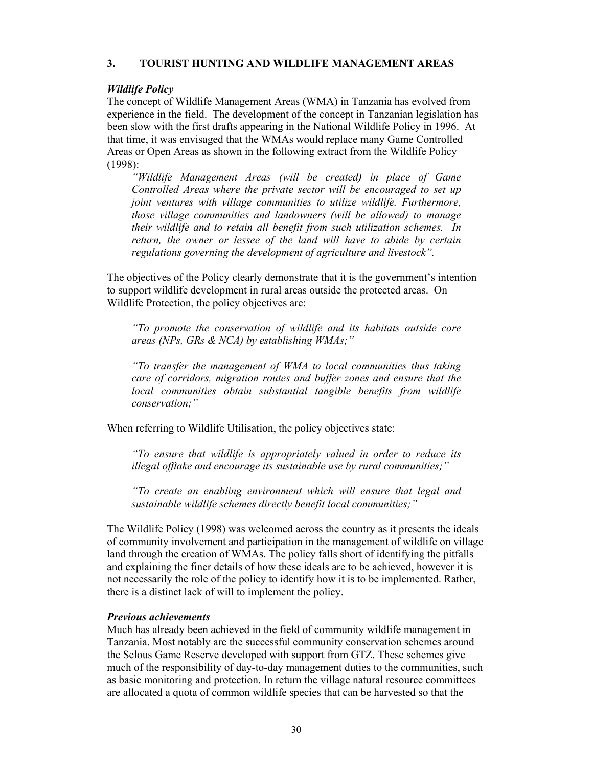## **3. TOURIST HUNTING AND WILDLIFE MANAGEMENT AREAS**

## *Wildlife Policy*

The concept of Wildlife Management Areas (WMA) in Tanzania has evolved from experience in the field. The development of the concept in Tanzanian legislation has been slow with the first drafts appearing in the National Wildlife Policy in 1996. At that time, it was envisaged that the WMAs would replace many Game Controlled Areas or Open Areas as shown in the following extract from the Wildlife Policy (1998):

*"Wildlife Management Areas (will be created) in place of Game Controlled Areas where the private sector will be encouraged to set up joint ventures with village communities to utilize wildlife. Furthermore, those village communities and landowners (will be allowed) to manage their wildlife and to retain all benefit from such utilization schemes. In return, the owner or lessee of the land will have to abide by certain regulations governing the development of agriculture and livestock".* 

The objectives of the Policy clearly demonstrate that it is the government's intention to support wildlife development in rural areas outside the protected areas. On Wildlife Protection, the policy objectives are:

*"To promote the conservation of wildlife and its habitats outside core areas (NPs, GRs & NCA) by establishing WMAs;"* 

*"To transfer the management of WMA to local communities thus taking care of corridors, migration routes and buffer zones and ensure that the local communities obtain substantial tangible benefits from wildlife conservation;"* 

When referring to Wildlife Utilisation, the policy objectives state:

*"To ensure that wildlife is appropriately valued in order to reduce its illegal offtake and encourage its sustainable use by rural communities;"* 

*"To create an enabling environment which will ensure that legal and sustainable wildlife schemes directly benefit local communities;"* 

The Wildlife Policy (1998) was welcomed across the country as it presents the ideals of community involvement and participation in the management of wildlife on village land through the creation of WMAs. The policy falls short of identifying the pitfalls and explaining the finer details of how these ideals are to be achieved, however it is not necessarily the role of the policy to identify how it is to be implemented. Rather, there is a distinct lack of will to implement the policy.

#### *Previous achievements*

Much has already been achieved in the field of community wildlife management in Tanzania. Most notably are the successful community conservation schemes around the Selous Game Reserve developed with support from GTZ. These schemes give much of the responsibility of day-to-day management duties to the communities, such as basic monitoring and protection. In return the village natural resource committees are allocated a quota of common wildlife species that can be harvested so that the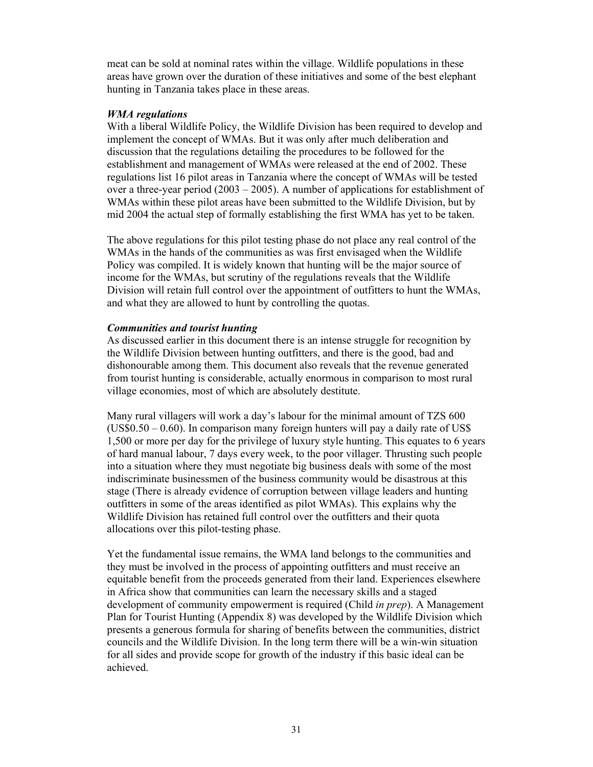meat can be sold at nominal rates within the village. Wildlife populations in these areas have grown over the duration of these initiatives and some of the best elephant hunting in Tanzania takes place in these areas.

#### *WMA regulations*

With a liberal Wildlife Policy, the Wildlife Division has been required to develop and implement the concept of WMAs. But it was only after much deliberation and discussion that the regulations detailing the procedures to be followed for the establishment and management of WMAs were released at the end of 2002. These regulations list 16 pilot areas in Tanzania where the concept of WMAs will be tested over a three-year period (2003 – 2005). A number of applications for establishment of WMAs within these pilot areas have been submitted to the Wildlife Division, but by mid 2004 the actual step of formally establishing the first WMA has yet to be taken.

The above regulations for this pilot testing phase do not place any real control of the WMAs in the hands of the communities as was first envisaged when the Wildlife Policy was compiled. It is widely known that hunting will be the major source of income for the WMAs, but scrutiny of the regulations reveals that the Wildlife Division will retain full control over the appointment of outfitters to hunt the WMAs, and what they are allowed to hunt by controlling the quotas.

## *Communities and tourist hunting*

As discussed earlier in this document there is an intense struggle for recognition by the Wildlife Division between hunting outfitters, and there is the good, bad and dishonourable among them. This document also reveals that the revenue generated from tourist hunting is considerable, actually enormous in comparison to most rural village economies, most of which are absolutely destitute.

Many rural villagers will work a day's labour for the minimal amount of TZS 600  $(US$0.50 - 0.60)$ . In comparison many foreign hunters will pay a daily rate of US\$ 1,500 or more per day for the privilege of luxury style hunting. This equates to 6 years of hard manual labour, 7 days every week, to the poor villager. Thrusting such people into a situation where they must negotiate big business deals with some of the most indiscriminate businessmen of the business community would be disastrous at this stage (There is already evidence of corruption between village leaders and hunting outfitters in some of the areas identified as pilot WMAs). This explains why the Wildlife Division has retained full control over the outfitters and their quota allocations over this pilot-testing phase.

Yet the fundamental issue remains, the WMA land belongs to the communities and they must be involved in the process of appointing outfitters and must receive an equitable benefit from the proceeds generated from their land. Experiences elsewhere in Africa show that communities can learn the necessary skills and a staged development of community empowerment is required (Child *in prep*). A Management Plan for Tourist Hunting (Appendix 8) was developed by the Wildlife Division which presents a generous formula for sharing of benefits between the communities, district councils and the Wildlife Division. In the long term there will be a win-win situation for all sides and provide scope for growth of the industry if this basic ideal can be achieved.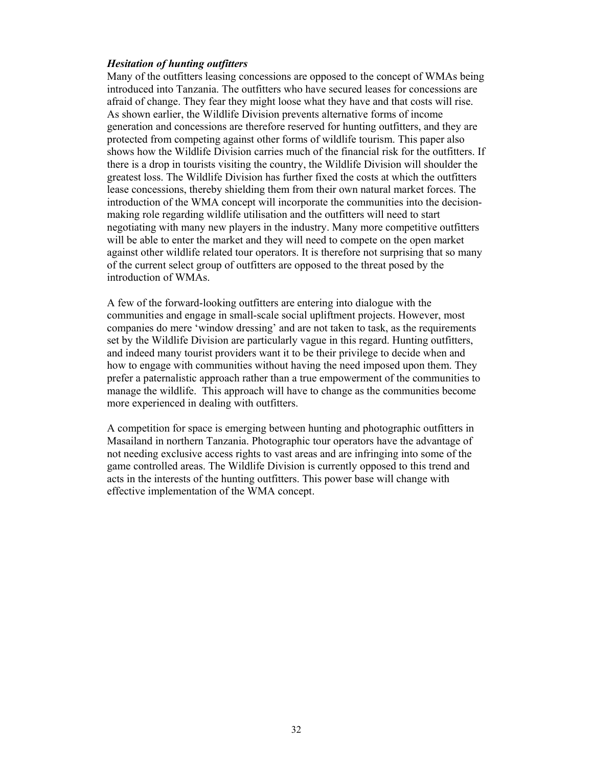#### *Hesitation of hunting outfitters*

Many of the outfitters leasing concessions are opposed to the concept of WMAs being introduced into Tanzania. The outfitters who have secured leases for concessions are afraid of change. They fear they might loose what they have and that costs will rise. As shown earlier, the Wildlife Division prevents alternative forms of income generation and concessions are therefore reserved for hunting outfitters, and they are protected from competing against other forms of wildlife tourism. This paper also shows how the Wildlife Division carries much of the financial risk for the outfitters. If there is a drop in tourists visiting the country, the Wildlife Division will shoulder the greatest loss. The Wildlife Division has further fixed the costs at which the outfitters lease concessions, thereby shielding them from their own natural market forces. The introduction of the WMA concept will incorporate the communities into the decisionmaking role regarding wildlife utilisation and the outfitters will need to start negotiating with many new players in the industry. Many more competitive outfitters will be able to enter the market and they will need to compete on the open market against other wildlife related tour operators. It is therefore not surprising that so many of the current select group of outfitters are opposed to the threat posed by the introduction of WMAs.

A few of the forward-looking outfitters are entering into dialogue with the communities and engage in small-scale social upliftment projects. However, most companies do mere 'window dressing' and are not taken to task, as the requirements set by the Wildlife Division are particularly vague in this regard. Hunting outfitters, and indeed many tourist providers want it to be their privilege to decide when and how to engage with communities without having the need imposed upon them. They prefer a paternalistic approach rather than a true empowerment of the communities to manage the wildlife. This approach will have to change as the communities become more experienced in dealing with outfitters.

A competition for space is emerging between hunting and photographic outfitters in Masailand in northern Tanzania. Photographic tour operators have the advantage of not needing exclusive access rights to vast areas and are infringing into some of the game controlled areas. The Wildlife Division is currently opposed to this trend and acts in the interests of the hunting outfitters. This power base will change with effective implementation of the WMA concept.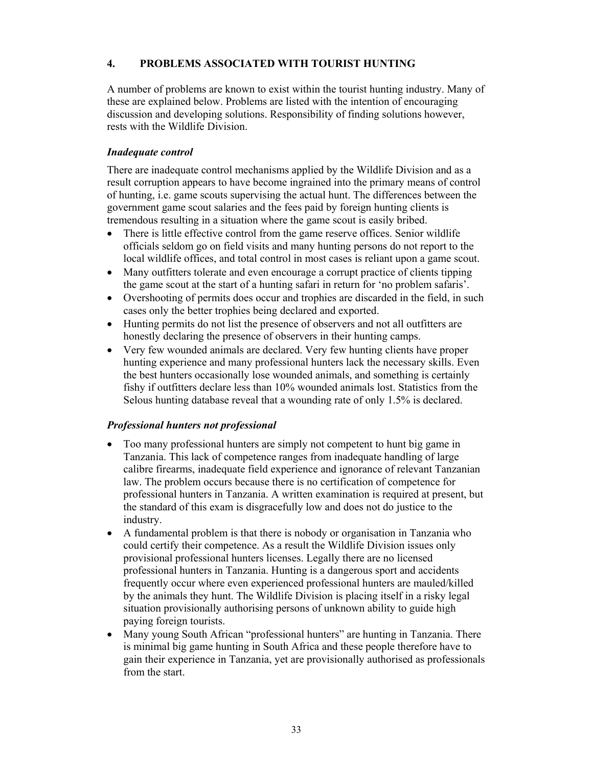# **4. PROBLEMS ASSOCIATED WITH TOURIST HUNTING**

A number of problems are known to exist within the tourist hunting industry. Many of these are explained below. Problems are listed with the intention of encouraging discussion and developing solutions. Responsibility of finding solutions however, rests with the Wildlife Division.

## *Inadequate control*

There are inadequate control mechanisms applied by the Wildlife Division and as a result corruption appears to have become ingrained into the primary means of control of hunting, i.e. game scouts supervising the actual hunt. The differences between the government game scout salaries and the fees paid by foreign hunting clients is tremendous resulting in a situation where the game scout is easily bribed.

- There is little effective control from the game reserve offices. Senior wildlife officials seldom go on field visits and many hunting persons do not report to the local wildlife offices, and total control in most cases is reliant upon a game scout.
- Many outfitters tolerate and even encourage a corrupt practice of clients tipping the game scout at the start of a hunting safari in return for 'no problem safaris'.
- Overshooting of permits does occur and trophies are discarded in the field, in such cases only the better trophies being declared and exported.
- Hunting permits do not list the presence of observers and not all outfitters are honestly declaring the presence of observers in their hunting camps.
- Very few wounded animals are declared. Very few hunting clients have proper hunting experience and many professional hunters lack the necessary skills. Even the best hunters occasionally lose wounded animals, and something is certainly fishy if outfitters declare less than 10% wounded animals lost. Statistics from the Selous hunting database reveal that a wounding rate of only 1.5% is declared.

## *Professional hunters not professional*

- Too many professional hunters are simply not competent to hunt big game in Tanzania. This lack of competence ranges from inadequate handling of large calibre firearms, inadequate field experience and ignorance of relevant Tanzanian law. The problem occurs because there is no certification of competence for professional hunters in Tanzania. A written examination is required at present, but the standard of this exam is disgracefully low and does not do justice to the industry.
- A fundamental problem is that there is nobody or organisation in Tanzania who could certify their competence. As a result the Wildlife Division issues only provisional professional hunters licenses. Legally there are no licensed professional hunters in Tanzania. Hunting is a dangerous sport and accidents frequently occur where even experienced professional hunters are mauled/killed by the animals they hunt. The Wildlife Division is placing itself in a risky legal situation provisionally authorising persons of unknown ability to guide high paying foreign tourists.
- Many young South African "professional hunters" are hunting in Tanzania. There is minimal big game hunting in South Africa and these people therefore have to gain their experience in Tanzania, yet are provisionally authorised as professionals from the start.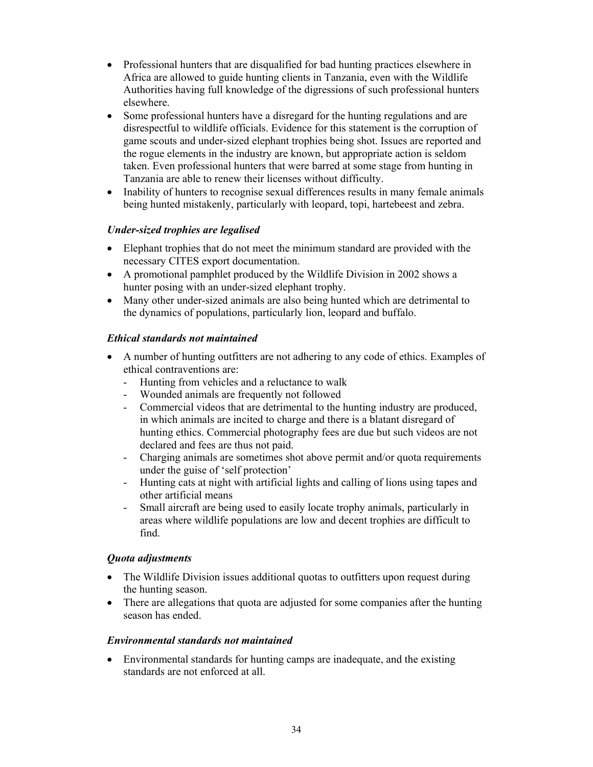- Professional hunters that are disqualified for bad hunting practices elsewhere in Africa are allowed to guide hunting clients in Tanzania, even with the Wildlife Authorities having full knowledge of the digressions of such professional hunters elsewhere.
- Some professional hunters have a disregard for the hunting regulations and are disrespectful to wildlife officials. Evidence for this statement is the corruption of game scouts and under-sized elephant trophies being shot. Issues are reported and the rogue elements in the industry are known, but appropriate action is seldom taken. Even professional hunters that were barred at some stage from hunting in Tanzania are able to renew their licenses without difficulty.
- Inability of hunters to recognise sexual differences results in many female animals being hunted mistakenly, particularly with leopard, topi, hartebeest and zebra.

# *Under-sized trophies are legalised*

- Elephant trophies that do not meet the minimum standard are provided with the necessary CITES export documentation.
- A promotional pamphlet produced by the Wildlife Division in 2002 shows a hunter posing with an under-sized elephant trophy.
- Many other under-sized animals are also being hunted which are detrimental to the dynamics of populations, particularly lion, leopard and buffalo.

# *Ethical standards not maintained*

- A number of hunting outfitters are not adhering to any code of ethics. Examples of ethical contraventions are:
	- Hunting from vehicles and a reluctance to walk
	- Wounded animals are frequently not followed
	- Commercial videos that are detrimental to the hunting industry are produced, in which animals are incited to charge and there is a blatant disregard of hunting ethics. Commercial photography fees are due but such videos are not declared and fees are thus not paid.
	- Charging animals are sometimes shot above permit and/or quota requirements under the guise of 'self protection'
	- Hunting cats at night with artificial lights and calling of lions using tapes and other artificial means
	- Small aircraft are being used to easily locate trophy animals, particularly in areas where wildlife populations are low and decent trophies are difficult to find.

# *Quota adjustments*

- The Wildlife Division issues additional quotas to outfitters upon request during the hunting season.
- There are allegations that quota are adjusted for some companies after the hunting season has ended.

# *Environmental standards not maintained*

• Environmental standards for hunting camps are inadequate, and the existing standards are not enforced at all.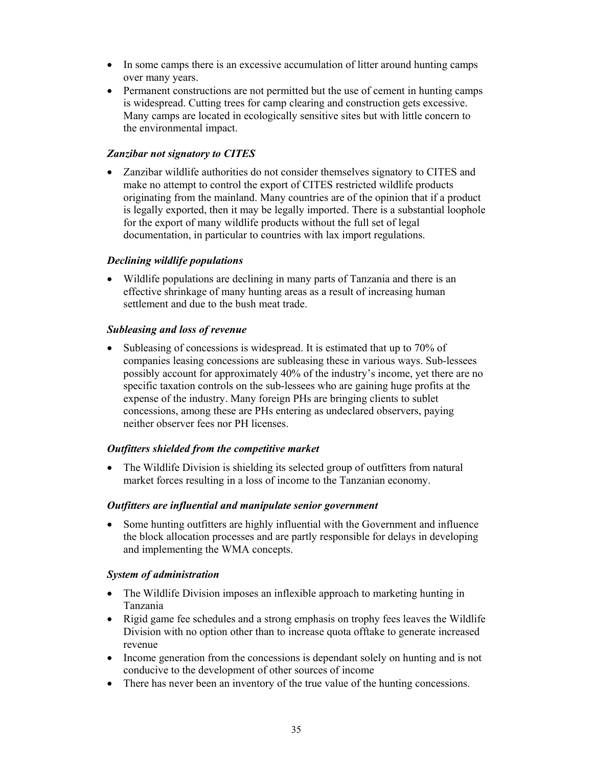- In some camps there is an excessive accumulation of litter around hunting camps over many years.
- Permanent constructions are not permitted but the use of cement in hunting camps is widespread. Cutting trees for camp clearing and construction gets excessive. Many camps are located in ecologically sensitive sites but with little concern to the environmental impact.

## *Zanzibar not signatory to CITES*

• Zanzibar wildlife authorities do not consider themselves signatory to CITES and make no attempt to control the export of CITES restricted wildlife products originating from the mainland. Many countries are of the opinion that if a product is legally exported, then it may be legally imported. There is a substantial loophole for the export of many wildlife products without the full set of legal documentation, in particular to countries with lax import regulations.

## *Declining wildlife populations*

• Wildlife populations are declining in many parts of Tanzania and there is an effective shrinkage of many hunting areas as a result of increasing human settlement and due to the bush meat trade.

## *Subleasing and loss of revenue*

• Subleasing of concessions is widespread. It is estimated that up to 70% of companies leasing concessions are subleasing these in various ways. Sub-lessees possibly account for approximately 40% of the industry's income, yet there are no specific taxation controls on the sub-lessees who are gaining huge profits at the expense of the industry. Many foreign PHs are bringing clients to sublet concessions, among these are PHs entering as undeclared observers, paying neither observer fees nor PH licenses.

# *Outfitters shielded from the competitive market*

• The Wildlife Division is shielding its selected group of outfitters from natural market forces resulting in a loss of income to the Tanzanian economy.

## *Outfitters are influential and manipulate senior government*

• Some hunting outfitters are highly influential with the Government and influence the block allocation processes and are partly responsible for delays in developing and implementing the WMA concepts.

## *System of administration*

- The Wildlife Division imposes an inflexible approach to marketing hunting in Tanzania
- Rigid game fee schedules and a strong emphasis on trophy fees leaves the Wildlife Division with no option other than to increase quota offtake to generate increased revenue
- Income generation from the concessions is dependant solely on hunting and is not conducive to the development of other sources of income
- There has never been an inventory of the true value of the hunting concessions.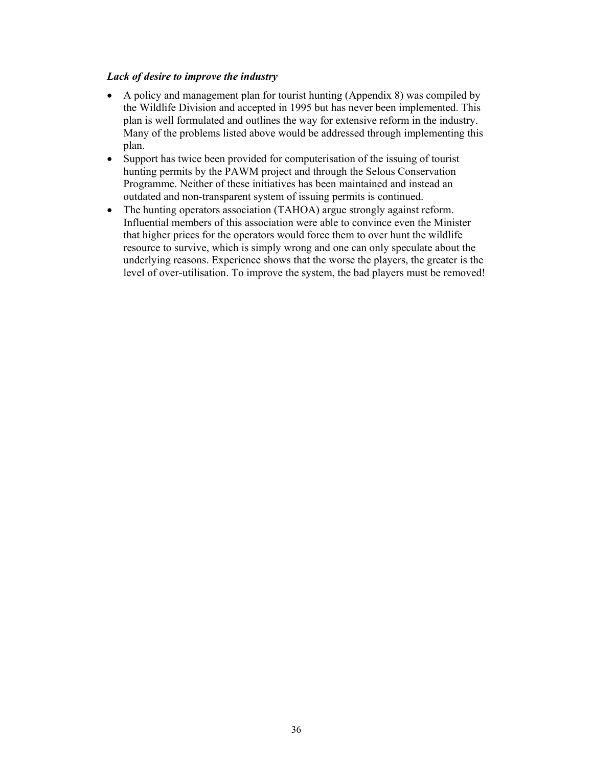## *Lack of desire to improve the industry*

- A policy and management plan for tourist hunting (Appendix 8) was compiled by the Wildlife Division and accepted in 1995 but has never been implemented. This plan is well formulated and outlines the way for extensive reform in the industry. Many of the problems listed above would be addressed through implementing this plan.
- Support has twice been provided for computerisation of the issuing of tourist hunting permits by the PAWM project and through the Selous Conservation Programme. Neither of these initiatives has been maintained and instead an outdated and non-transparent system of issuing permits is continued.
- The hunting operators association (TAHOA) argue strongly against reform. Influential members of this association were able to convince even the Minister that higher prices for the operators would force them to over hunt the wildlife resource to survive, which is simply wrong and one can only speculate about the underlying reasons. Experience shows that the worse the players, the greater is the level of over-utilisation. To improve the system, the bad players must be removed!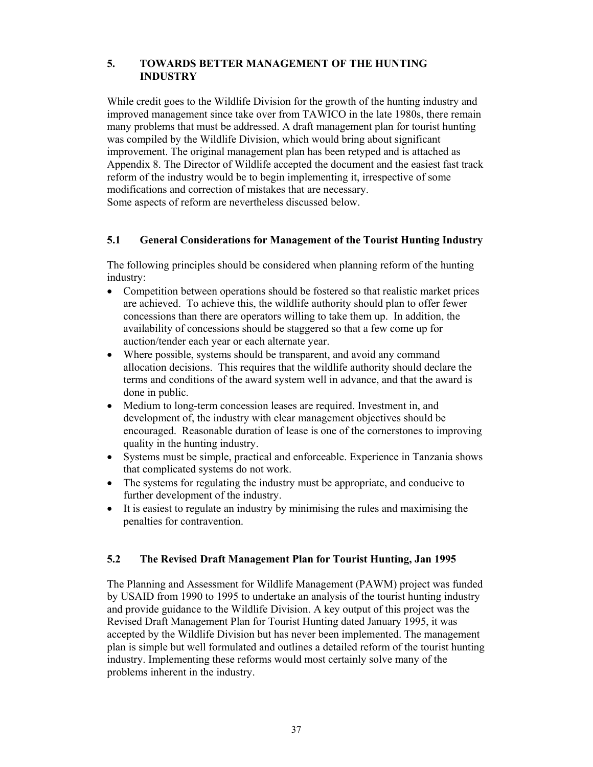# **5. TOWARDS BETTER MANAGEMENT OF THE HUNTING INDUSTRY**

While credit goes to the Wildlife Division for the growth of the hunting industry and improved management since take over from TAWICO in the late 1980s, there remain many problems that must be addressed. A draft management plan for tourist hunting was compiled by the Wildlife Division, which would bring about significant improvement. The original management plan has been retyped and is attached as Appendix 8. The Director of Wildlife accepted the document and the easiest fast track reform of the industry would be to begin implementing it, irrespective of some modifications and correction of mistakes that are necessary. Some aspects of reform are nevertheless discussed below.

# **5.1 General Considerations for Management of the Tourist Hunting Industry**

The following principles should be considered when planning reform of the hunting industry:

- Competition between operations should be fostered so that realistic market prices are achieved. To achieve this, the wildlife authority should plan to offer fewer concessions than there are operators willing to take them up. In addition, the availability of concessions should be staggered so that a few come up for auction/tender each year or each alternate year.
- Where possible, systems should be transparent, and avoid any command allocation decisions. This requires that the wildlife authority should declare the terms and conditions of the award system well in advance, and that the award is done in public.
- Medium to long-term concession leases are required. Investment in, and development of, the industry with clear management objectives should be encouraged. Reasonable duration of lease is one of the cornerstones to improving quality in the hunting industry.
- Systems must be simple, practical and enforceable. Experience in Tanzania shows that complicated systems do not work.
- The systems for regulating the industry must be appropriate, and conducive to further development of the industry.
- It is easiest to regulate an industry by minimising the rules and maximising the penalties for contravention.

# **5.2 The Revised Draft Management Plan for Tourist Hunting, Jan 1995**

The Planning and Assessment for Wildlife Management (PAWM) project was funded by USAID from 1990 to 1995 to undertake an analysis of the tourist hunting industry and provide guidance to the Wildlife Division. A key output of this project was the Revised Draft Management Plan for Tourist Hunting dated January 1995, it was accepted by the Wildlife Division but has never been implemented. The management plan is simple but well formulated and outlines a detailed reform of the tourist hunting industry. Implementing these reforms would most certainly solve many of the problems inherent in the industry.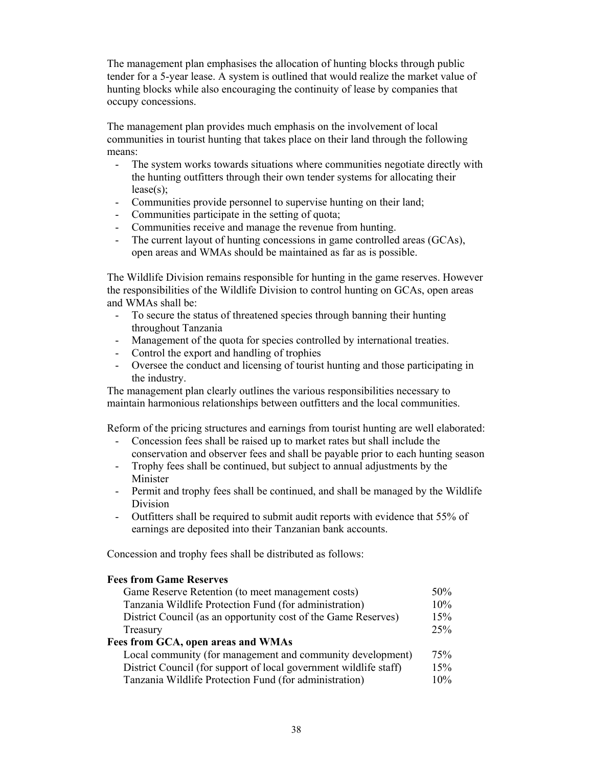The management plan emphasises the allocation of hunting blocks through public tender for a 5-year lease. A system is outlined that would realize the market value of hunting blocks while also encouraging the continuity of lease by companies that occupy concessions.

The management plan provides much emphasis on the involvement of local communities in tourist hunting that takes place on their land through the following means:

- The system works towards situations where communities negotiate directly with the hunting outfitters through their own tender systems for allocating their lease(s);
- Communities provide personnel to supervise hunting on their land;
- Communities participate in the setting of quota;
- Communities receive and manage the revenue from hunting.
- The current layout of hunting concessions in game controlled areas (GCAs), open areas and WMAs should be maintained as far as is possible.

The Wildlife Division remains responsible for hunting in the game reserves. However the responsibilities of the Wildlife Division to control hunting on GCAs, open areas and WMAs shall be:

- To secure the status of threatened species through banning their hunting throughout Tanzania
- Management of the quota for species controlled by international treaties.
- Control the export and handling of trophies
- Oversee the conduct and licensing of tourist hunting and those participating in the industry.

The management plan clearly outlines the various responsibilities necessary to maintain harmonious relationships between outfitters and the local communities.

Reform of the pricing structures and earnings from tourist hunting are well elaborated:

- Concession fees shall be raised up to market rates but shall include the conservation and observer fees and shall be payable prior to each hunting season
- Trophy fees shall be continued, but subject to annual adjustments by the Minister
- Permit and trophy fees shall be continued, and shall be managed by the Wildlife Division
- Outfitters shall be required to submit audit reports with evidence that 55% of earnings are deposited into their Tanzanian bank accounts.

Concession and trophy fees shall be distributed as follows:

## **Fees from Game Reserves**

| Game Reserve Retention (to meet management costs)                 | 50% |
|-------------------------------------------------------------------|-----|
| Tanzania Wildlife Protection Fund (for administration)            | 10% |
| District Council (as an opportunity cost of the Game Reserves)    | 15% |
| Treasury                                                          | 25% |
| Fees from GCA, open areas and WMAs                                |     |
| Local community (for management and community development)        | 75% |
| District Council (for support of local government wildlife staff) | 15% |
| Tanzania Wildlife Protection Fund (for administration)            | 10% |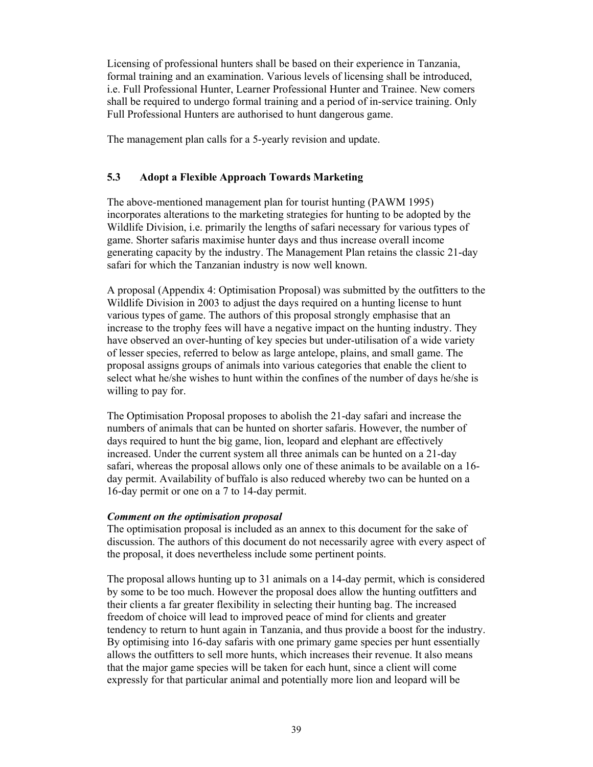Licensing of professional hunters shall be based on their experience in Tanzania, formal training and an examination. Various levels of licensing shall be introduced, i.e. Full Professional Hunter, Learner Professional Hunter and Trainee. New comers shall be required to undergo formal training and a period of in-service training. Only Full Professional Hunters are authorised to hunt dangerous game.

The management plan calls for a 5-yearly revision and update.

## **5.3 Adopt a Flexible Approach Towards Marketing**

The above-mentioned management plan for tourist hunting (PAWM 1995) incorporates alterations to the marketing strategies for hunting to be adopted by the Wildlife Division, i.e. primarily the lengths of safari necessary for various types of game. Shorter safaris maximise hunter days and thus increase overall income generating capacity by the industry. The Management Plan retains the classic 21-day safari for which the Tanzanian industry is now well known.

A proposal (Appendix 4: Optimisation Proposal) was submitted by the outfitters to the Wildlife Division in 2003 to adjust the days required on a hunting license to hunt various types of game. The authors of this proposal strongly emphasise that an increase to the trophy fees will have a negative impact on the hunting industry. They have observed an over-hunting of key species but under-utilisation of a wide variety of lesser species, referred to below as large antelope, plains, and small game. The proposal assigns groups of animals into various categories that enable the client to select what he/she wishes to hunt within the confines of the number of days he/she is willing to pay for.

The Optimisation Proposal proposes to abolish the 21-day safari and increase the numbers of animals that can be hunted on shorter safaris. However, the number of days required to hunt the big game, lion, leopard and elephant are effectively increased. Under the current system all three animals can be hunted on a 21-day safari, whereas the proposal allows only one of these animals to be available on a 16 day permit. Availability of buffalo is also reduced whereby two can be hunted on a 16-day permit or one on a 7 to 14-day permit.

## *Comment on the optimisation proposal*

The optimisation proposal is included as an annex to this document for the sake of discussion. The authors of this document do not necessarily agree with every aspect of the proposal, it does nevertheless include some pertinent points.

The proposal allows hunting up to 31 animals on a 14-day permit, which is considered by some to be too much. However the proposal does allow the hunting outfitters and their clients a far greater flexibility in selecting their hunting bag. The increased freedom of choice will lead to improved peace of mind for clients and greater tendency to return to hunt again in Tanzania, and thus provide a boost for the industry. By optimising into 16-day safaris with one primary game species per hunt essentially allows the outfitters to sell more hunts, which increases their revenue. It also means that the major game species will be taken for each hunt, since a client will come expressly for that particular animal and potentially more lion and leopard will be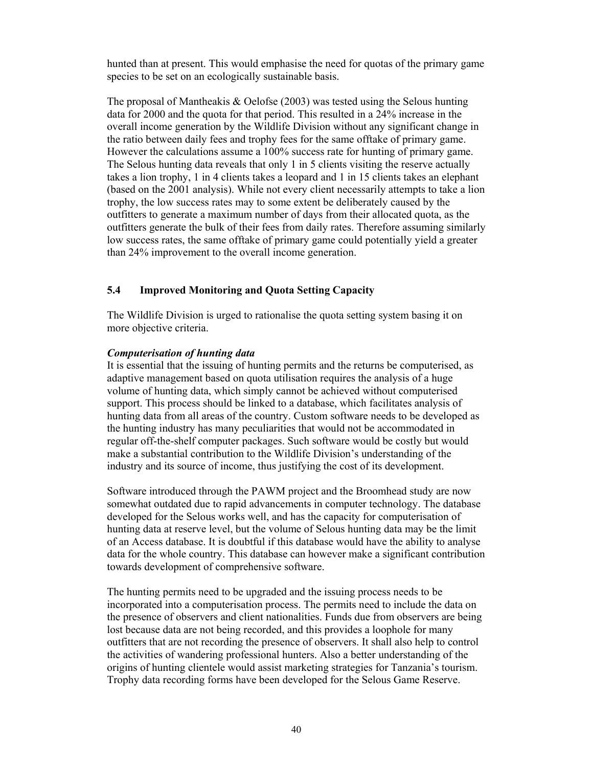hunted than at present. This would emphasise the need for quotas of the primary game species to be set on an ecologically sustainable basis.

The proposal of Mantheakis & Oelofse (2003) was tested using the Selous hunting data for 2000 and the quota for that period. This resulted in a 24% increase in the overall income generation by the Wildlife Division without any significant change in the ratio between daily fees and trophy fees for the same offtake of primary game. However the calculations assume a 100% success rate for hunting of primary game. The Selous hunting data reveals that only 1 in 5 clients visiting the reserve actually takes a lion trophy, 1 in 4 clients takes a leopard and 1 in 15 clients takes an elephant (based on the 2001 analysis). While not every client necessarily attempts to take a lion trophy, the low success rates may to some extent be deliberately caused by the outfitters to generate a maximum number of days from their allocated quota, as the outfitters generate the bulk of their fees from daily rates. Therefore assuming similarly low success rates, the same offtake of primary game could potentially yield a greater than 24% improvement to the overall income generation.

## **5.4 Improved Monitoring and Quota Setting Capacity**

The Wildlife Division is urged to rationalise the quota setting system basing it on more objective criteria.

#### *Computerisation of hunting data*

It is essential that the issuing of hunting permits and the returns be computerised, as adaptive management based on quota utilisation requires the analysis of a huge volume of hunting data, which simply cannot be achieved without computerised support. This process should be linked to a database, which facilitates analysis of hunting data from all areas of the country. Custom software needs to be developed as the hunting industry has many peculiarities that would not be accommodated in regular off-the-shelf computer packages. Such software would be costly but would make a substantial contribution to the Wildlife Division's understanding of the industry and its source of income, thus justifying the cost of its development.

Software introduced through the PAWM project and the Broomhead study are now somewhat outdated due to rapid advancements in computer technology. The database developed for the Selous works well, and has the capacity for computerisation of hunting data at reserve level, but the volume of Selous hunting data may be the limit of an Access database. It is doubtful if this database would have the ability to analyse data for the whole country. This database can however make a significant contribution towards development of comprehensive software.

The hunting permits need to be upgraded and the issuing process needs to be incorporated into a computerisation process. The permits need to include the data on the presence of observers and client nationalities. Funds due from observers are being lost because data are not being recorded, and this provides a loophole for many outfitters that are not recording the presence of observers. It shall also help to control the activities of wandering professional hunters. Also a better understanding of the origins of hunting clientele would assist marketing strategies for Tanzania's tourism. Trophy data recording forms have been developed for the Selous Game Reserve.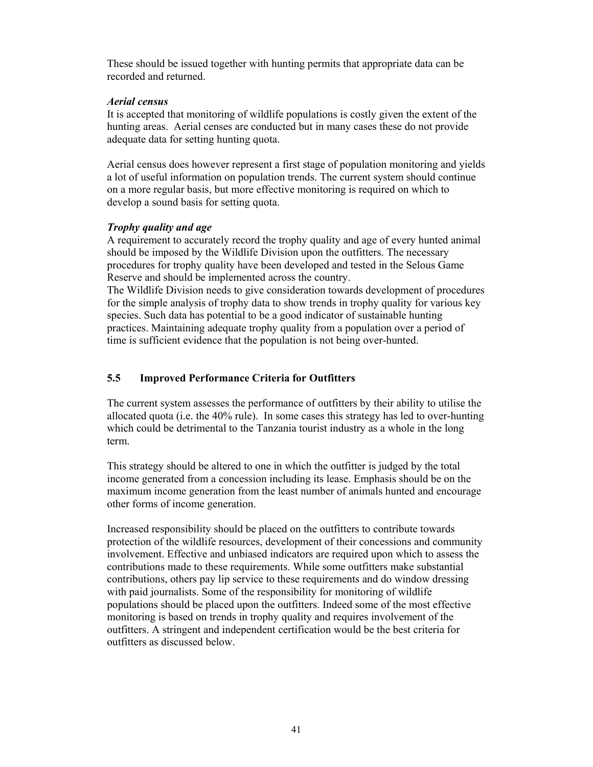These should be issued together with hunting permits that appropriate data can be recorded and returned.

#### *Aerial census*

It is accepted that monitoring of wildlife populations is costly given the extent of the hunting areas. Aerial censes are conducted but in many cases these do not provide adequate data for setting hunting quota.

Aerial census does however represent a first stage of population monitoring and yields a lot of useful information on population trends. The current system should continue on a more regular basis, but more effective monitoring is required on which to develop a sound basis for setting quota.

#### *Trophy quality and age*

A requirement to accurately record the trophy quality and age of every hunted animal should be imposed by the Wildlife Division upon the outfitters. The necessary procedures for trophy quality have been developed and tested in the Selous Game Reserve and should be implemented across the country.

The Wildlife Division needs to give consideration towards development of procedures for the simple analysis of trophy data to show trends in trophy quality for various key species. Such data has potential to be a good indicator of sustainable hunting practices. Maintaining adequate trophy quality from a population over a period of time is sufficient evidence that the population is not being over-hunted.

# **5.5 Improved Performance Criteria for Outfitters**

The current system assesses the performance of outfitters by their ability to utilise the allocated quota (i.e. the 40% rule). In some cases this strategy has led to over-hunting which could be detrimental to the Tanzania tourist industry as a whole in the long term.

This strategy should be altered to one in which the outfitter is judged by the total income generated from a concession including its lease. Emphasis should be on the maximum income generation from the least number of animals hunted and encourage other forms of income generation.

Increased responsibility should be placed on the outfitters to contribute towards protection of the wildlife resources, development of their concessions and community involvement. Effective and unbiased indicators are required upon which to assess the contributions made to these requirements. While some outfitters make substantial contributions, others pay lip service to these requirements and do window dressing with paid journalists. Some of the responsibility for monitoring of wildlife populations should be placed upon the outfitters. Indeed some of the most effective monitoring is based on trends in trophy quality and requires involvement of the outfitters. A stringent and independent certification would be the best criteria for outfitters as discussed below.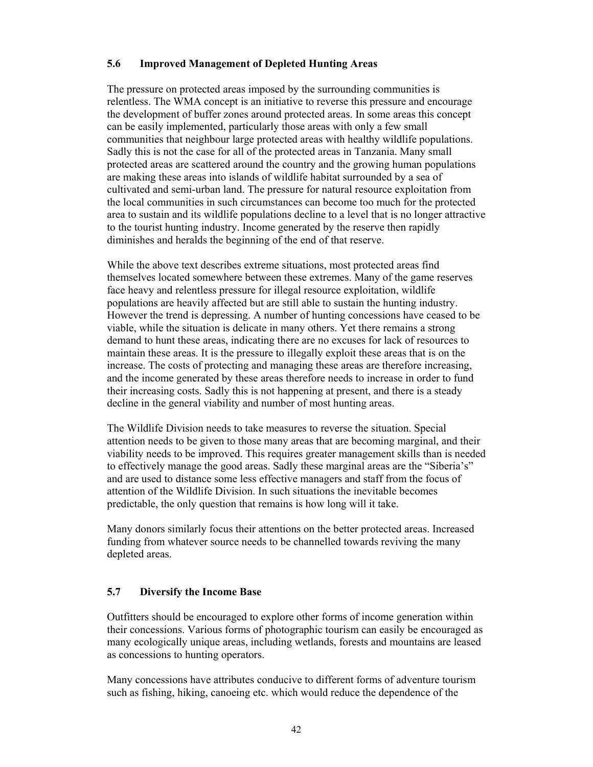# **5.6 Improved Management of Depleted Hunting Areas**

The pressure on protected areas imposed by the surrounding communities is relentless. The WMA concept is an initiative to reverse this pressure and encourage the development of buffer zones around protected areas. In some areas this concept can be easily implemented, particularly those areas with only a few small communities that neighbour large protected areas with healthy wildlife populations. Sadly this is not the case for all of the protected areas in Tanzania. Many small protected areas are scattered around the country and the growing human populations are making these areas into islands of wildlife habitat surrounded by a sea of cultivated and semi-urban land. The pressure for natural resource exploitation from the local communities in such circumstances can become too much for the protected area to sustain and its wildlife populations decline to a level that is no longer attractive to the tourist hunting industry. Income generated by the reserve then rapidly diminishes and heralds the beginning of the end of that reserve.

While the above text describes extreme situations, most protected areas find themselves located somewhere between these extremes. Many of the game reserves face heavy and relentless pressure for illegal resource exploitation, wildlife populations are heavily affected but are still able to sustain the hunting industry. However the trend is depressing. A number of hunting concessions have ceased to be viable, while the situation is delicate in many others. Yet there remains a strong demand to hunt these areas, indicating there are no excuses for lack of resources to maintain these areas. It is the pressure to illegally exploit these areas that is on the increase. The costs of protecting and managing these areas are therefore increasing, and the income generated by these areas therefore needs to increase in order to fund their increasing costs. Sadly this is not happening at present, and there is a steady decline in the general viability and number of most hunting areas.

The Wildlife Division needs to take measures to reverse the situation. Special attention needs to be given to those many areas that are becoming marginal, and their viability needs to be improved. This requires greater management skills than is needed to effectively manage the good areas. Sadly these marginal areas are the "Siberia's" and are used to distance some less effective managers and staff from the focus of attention of the Wildlife Division. In such situations the inevitable becomes predictable, the only question that remains is how long will it take.

Many donors similarly focus their attentions on the better protected areas. Increased funding from whatever source needs to be channelled towards reviving the many depleted areas.

# **5.7 Diversify the Income Base**

Outfitters should be encouraged to explore other forms of income generation within their concessions. Various forms of photographic tourism can easily be encouraged as many ecologically unique areas, including wetlands, forests and mountains are leased as concessions to hunting operators.

Many concessions have attributes conducive to different forms of adventure tourism such as fishing, hiking, canoeing etc. which would reduce the dependence of the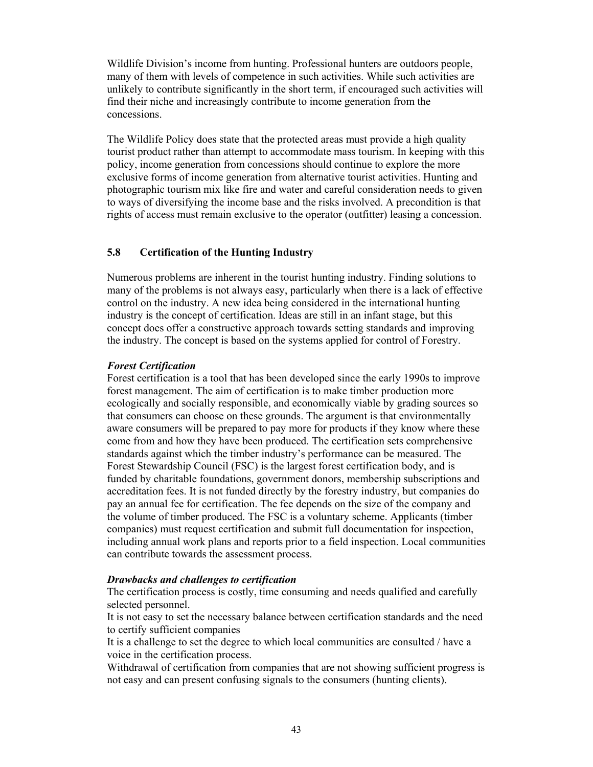Wildlife Division's income from hunting. Professional hunters are outdoors people, many of them with levels of competence in such activities. While such activities are unlikely to contribute significantly in the short term, if encouraged such activities will find their niche and increasingly contribute to income generation from the concessions.

The Wildlife Policy does state that the protected areas must provide a high quality tourist product rather than attempt to accommodate mass tourism. In keeping with this policy, income generation from concessions should continue to explore the more exclusive forms of income generation from alternative tourist activities. Hunting and photographic tourism mix like fire and water and careful consideration needs to given to ways of diversifying the income base and the risks involved. A precondition is that rights of access must remain exclusive to the operator (outfitter) leasing a concession.

## **5.8 Certification of the Hunting Industry**

Numerous problems are inherent in the tourist hunting industry. Finding solutions to many of the problems is not always easy, particularly when there is a lack of effective control on the industry. A new idea being considered in the international hunting industry is the concept of certification. Ideas are still in an infant stage, but this concept does offer a constructive approach towards setting standards and improving the industry. The concept is based on the systems applied for control of Forestry.

## *Forest Certification*

Forest certification is a tool that has been developed since the early 1990s to improve forest management. The aim of certification is to make timber production more ecologically and socially responsible, and economically viable by grading sources so that consumers can choose on these grounds. The argument is that environmentally aware consumers will be prepared to pay more for products if they know where these come from and how they have been produced. The certification sets comprehensive standards against which the timber industry's performance can be measured. The Forest Stewardship Council (FSC) is the largest forest certification body, and is funded by charitable foundations, government donors, membership subscriptions and accreditation fees. It is not funded directly by the forestry industry, but companies do pay an annual fee for certification. The fee depends on the size of the company and the volume of timber produced. The FSC is a voluntary scheme. Applicants (timber companies) must request certification and submit full documentation for inspection, including annual work plans and reports prior to a field inspection. Local communities can contribute towards the assessment process.

## *Drawbacks and challenges to certification*

The certification process is costly, time consuming and needs qualified and carefully selected personnel.

It is not easy to set the necessary balance between certification standards and the need to certify sufficient companies

It is a challenge to set the degree to which local communities are consulted / have a voice in the certification process.

Withdrawal of certification from companies that are not showing sufficient progress is not easy and can present confusing signals to the consumers (hunting clients).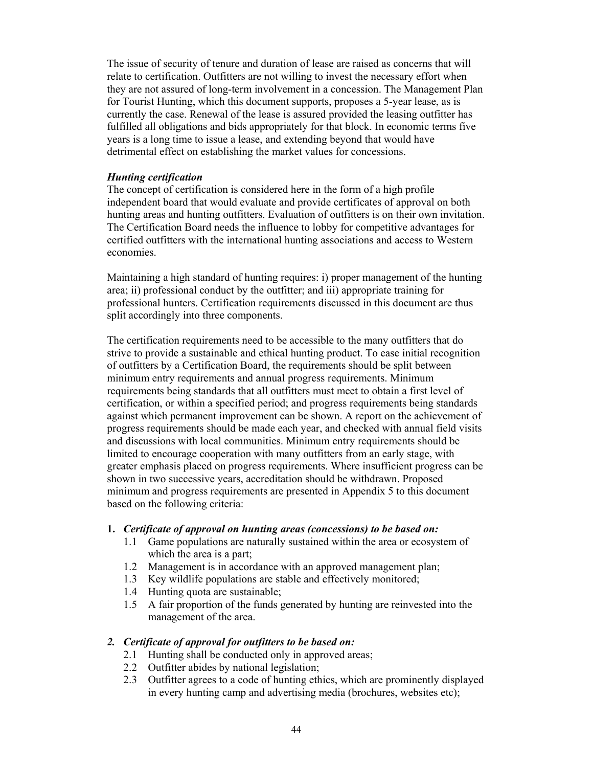The issue of security of tenure and duration of lease are raised as concerns that will relate to certification. Outfitters are not willing to invest the necessary effort when they are not assured of long-term involvement in a concession. The Management Plan for Tourist Hunting, which this document supports, proposes a 5-year lease, as is currently the case. Renewal of the lease is assured provided the leasing outfitter has fulfilled all obligations and bids appropriately for that block. In economic terms five years is a long time to issue a lease, and extending beyond that would have detrimental effect on establishing the market values for concessions.

## *Hunting certification*

The concept of certification is considered here in the form of a high profile independent board that would evaluate and provide certificates of approval on both hunting areas and hunting outfitters. Evaluation of outfitters is on their own invitation. The Certification Board needs the influence to lobby for competitive advantages for certified outfitters with the international hunting associations and access to Western economies.

Maintaining a high standard of hunting requires: i) proper management of the hunting area; ii) professional conduct by the outfitter; and iii) appropriate training for professional hunters. Certification requirements discussed in this document are thus split accordingly into three components.

The certification requirements need to be accessible to the many outfitters that do strive to provide a sustainable and ethical hunting product. To ease initial recognition of outfitters by a Certification Board, the requirements should be split between minimum entry requirements and annual progress requirements. Minimum requirements being standards that all outfitters must meet to obtain a first level of certification, or within a specified period; and progress requirements being standards against which permanent improvement can be shown. A report on the achievement of progress requirements should be made each year, and checked with annual field visits and discussions with local communities. Minimum entry requirements should be limited to encourage cooperation with many outfitters from an early stage, with greater emphasis placed on progress requirements. Where insufficient progress can be shown in two successive years, accreditation should be withdrawn. Proposed minimum and progress requirements are presented in Appendix 5 to this document based on the following criteria:

#### **1.** *Certificate of approval on hunting areas (concessions) to be based on:*

- 1.1 Game populations are naturally sustained within the area or ecosystem of which the area is a part;
- 1.2 Management is in accordance with an approved management plan;
- 1.3 Key wildlife populations are stable and effectively monitored;
- 1.4 Hunting quota are sustainable;
- 1.5 A fair proportion of the funds generated by hunting are reinvested into the management of the area.

#### *2. Certificate of approval for outfitters to be based on:*

- 2.1 Hunting shall be conducted only in approved areas;
- 2.2 Outfitter abides by national legislation;
- 2.3 Outfitter agrees to a code of hunting ethics, which are prominently displayed in every hunting camp and advertising media (brochures, websites etc);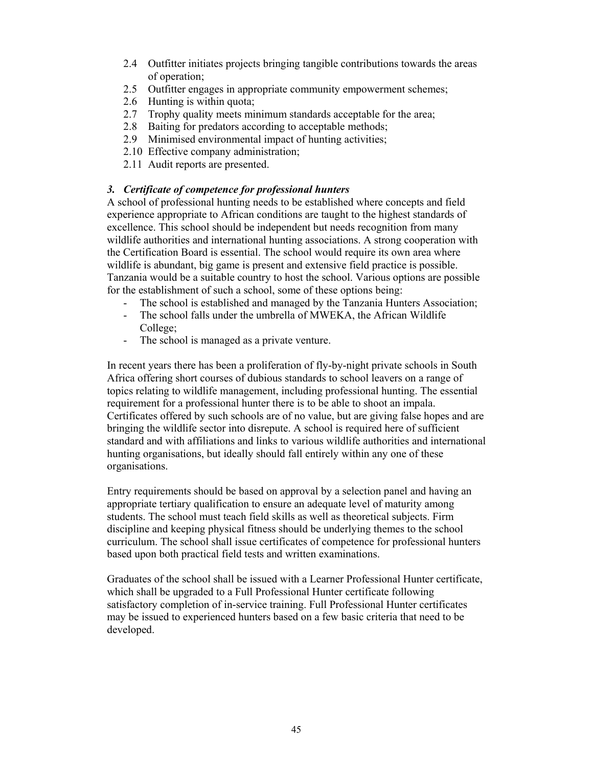- 2.4 Outfitter initiates projects bringing tangible contributions towards the areas of operation;
- 2.5 Outfitter engages in appropriate community empowerment schemes;
- 2.6 Hunting is within quota;
- 2.7 Trophy quality meets minimum standards acceptable for the area;
- 2.8 Baiting for predators according to acceptable methods;
- 2.9 Minimised environmental impact of hunting activities;
- 2.10 Effective company administration;
- 2.11 Audit reports are presented.

## *3. Certificate of competence for professional hunters*

A school of professional hunting needs to be established where concepts and field experience appropriate to African conditions are taught to the highest standards of excellence. This school should be independent but needs recognition from many wildlife authorities and international hunting associations. A strong cooperation with the Certification Board is essential. The school would require its own area where wildlife is abundant, big game is present and extensive field practice is possible. Tanzania would be a suitable country to host the school. Various options are possible for the establishment of such a school, some of these options being:

- The school is established and managed by the Tanzania Hunters Association;
- The school falls under the umbrella of MWEKA, the African Wildlife College;
- The school is managed as a private venture.

In recent years there has been a proliferation of fly-by-night private schools in South Africa offering short courses of dubious standards to school leavers on a range of topics relating to wildlife management, including professional hunting. The essential requirement for a professional hunter there is to be able to shoot an impala. Certificates offered by such schools are of no value, but are giving false hopes and are bringing the wildlife sector into disrepute. A school is required here of sufficient standard and with affiliations and links to various wildlife authorities and international hunting organisations, but ideally should fall entirely within any one of these organisations.

Entry requirements should be based on approval by a selection panel and having an appropriate tertiary qualification to ensure an adequate level of maturity among students. The school must teach field skills as well as theoretical subjects. Firm discipline and keeping physical fitness should be underlying themes to the school curriculum. The school shall issue certificates of competence for professional hunters based upon both practical field tests and written examinations.

Graduates of the school shall be issued with a Learner Professional Hunter certificate, which shall be upgraded to a Full Professional Hunter certificate following satisfactory completion of in-service training. Full Professional Hunter certificates may be issued to experienced hunters based on a few basic criteria that need to be developed.